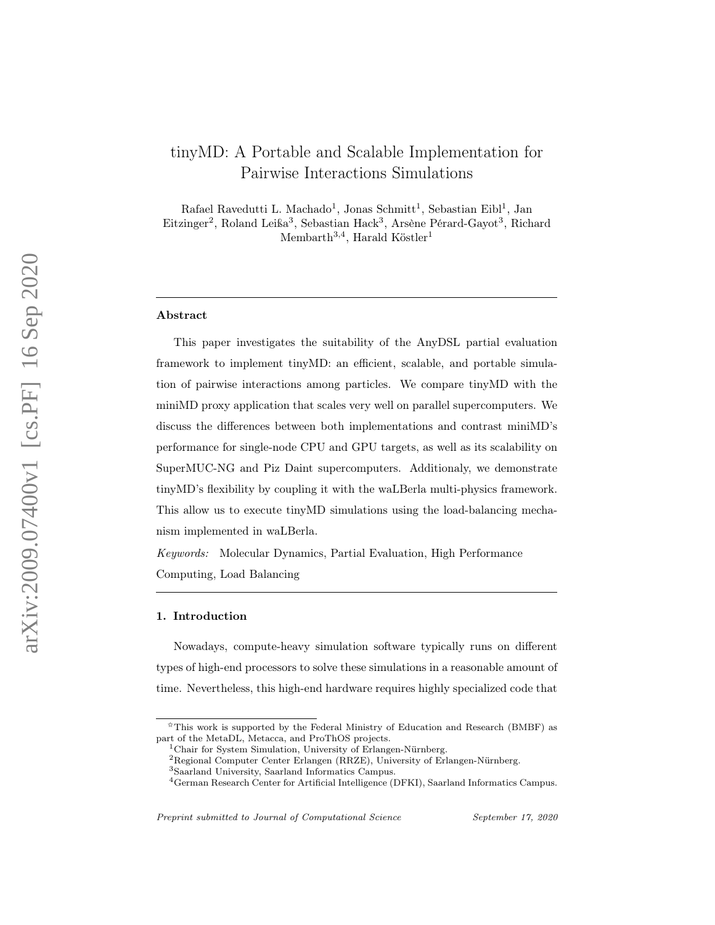# tinyMD: A Portable and Scalable Implementation for Pairwise Interactions Simulations

Rafael Ravedutti L. Machado<sup>1</sup>, Jonas Schmitt<sup>1</sup>, Sebastian Eibl<sup>1</sup>, Jan Eitzinger<sup>2</sup>, Roland Leißa<sup>3</sup>, Sebastian Hack<sup>3</sup>, Arsène Pérard-Gayot<sup>3</sup>, Richard Membarth<sup>3,4</sup>, Harald Köstler<sup>1</sup>

#### Abstract

This paper investigates the suitability of the AnyDSL partial evaluation framework to implement tinyMD: an efficient, scalable, and portable simulation of pairwise interactions among particles. We compare tinyMD with the miniMD proxy application that scales very well on parallel supercomputers. We discuss the differences between both implementations and contrast miniMD's performance for single-node CPU and GPU targets, as well as its scalability on SuperMUC-NG and Piz Daint supercomputers. Additionaly, we demonstrate tinyMD's flexibility by coupling it with the waLBerla multi-physics framework. This allow us to execute tinyMD simulations using the load-balancing mechanism implemented in waLBerla.

Keywords: Molecular Dynamics, Partial Evaluation, High Performance Computing, Load Balancing

## 1. Introduction

Nowadays, compute-heavy simulation software typically runs on different types of high-end processors to solve these simulations in a reasonable amount of time. Nevertheless, this high-end hardware requires highly specialized code that

<sup>✩</sup>This work is supported by the Federal Ministry of Education and Research (BMBF) as part of the MetaDL, Metacca, and ProThOS projects.

<sup>1</sup>Chair for System Simulation, University of Erlangen-Nürnberg.

 $^{2}$ Regional Computer Center Erlangen (RRZE), University of Erlangen-Nürnberg.

<sup>3</sup>Saarland University, Saarland Informatics Campus.

<sup>4</sup>German Research Center for Artificial Intelligence (DFKI), Saarland Informatics Campus.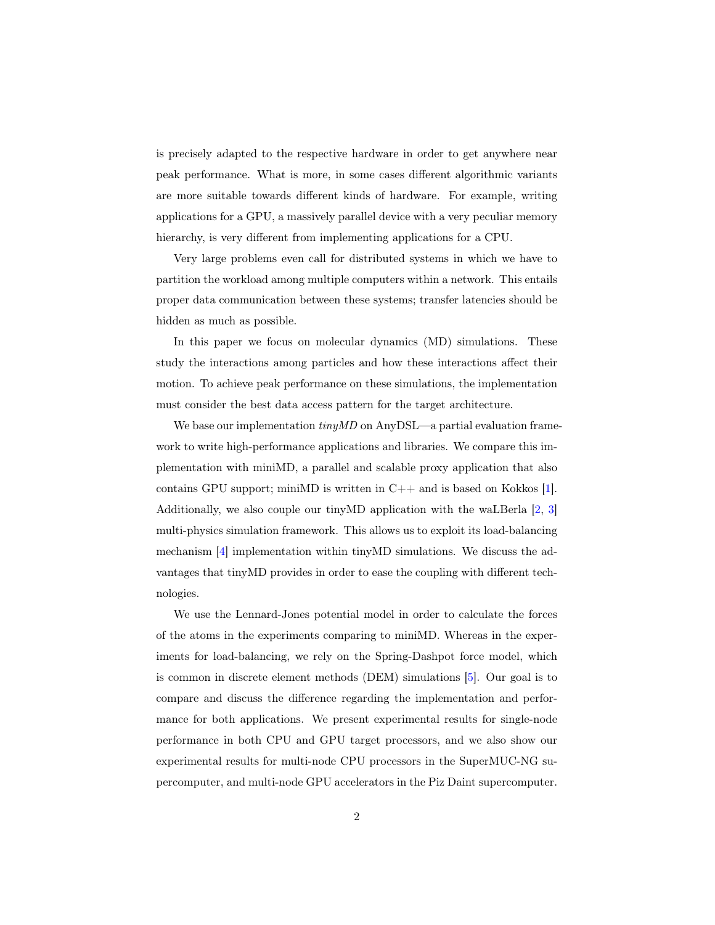is precisely adapted to the respective hardware in order to get anywhere near peak performance. What is more, in some cases different algorithmic variants are more suitable towards different kinds of hardware. For example, writing applications for a GPU, a massively parallel device with a very peculiar memory hierarchy, is very different from implementing applications for a CPU.

Very large problems even call for distributed systems in which we have to partition the workload among multiple computers within a network. This entails proper data communication between these systems; transfer latencies should be hidden as much as possible.

In this paper we focus on molecular dynamics (MD) simulations. These study the interactions among particles and how these interactions affect their motion. To achieve peak performance on these simulations, the implementation must consider the best data access pattern for the target architecture.

We base our implementation  $tinyMD$  on AnyDSL—a partial evaluation framework to write high-performance applications and libraries. We compare this implementation with miniMD, a parallel and scalable proxy application that also contains GPU support; miniMD is written in  $C++$  and is based on Kokkos [\[1\]](#page-30-0). Additionally, we also couple our tinyMD application with the waLBerla [\[2,](#page-30-1) [3\]](#page-30-2) multi-physics simulation framework. This allows us to exploit its load-balancing mechanism [\[4\]](#page-30-3) implementation within tinyMD simulations. We discuss the advantages that tinyMD provides in order to ease the coupling with different technologies.

We use the Lennard-Jones potential model in order to calculate the forces of the atoms in the experiments comparing to miniMD. Whereas in the experiments for load-balancing, we rely on the Spring-Dashpot force model, which is common in discrete element methods (DEM) simulations [\[5\]](#page-30-4). Our goal is to compare and discuss the difference regarding the implementation and performance for both applications. We present experimental results for single-node performance in both CPU and GPU target processors, and we also show our experimental results for multi-node CPU processors in the SuperMUC-NG supercomputer, and multi-node GPU accelerators in the Piz Daint supercomputer.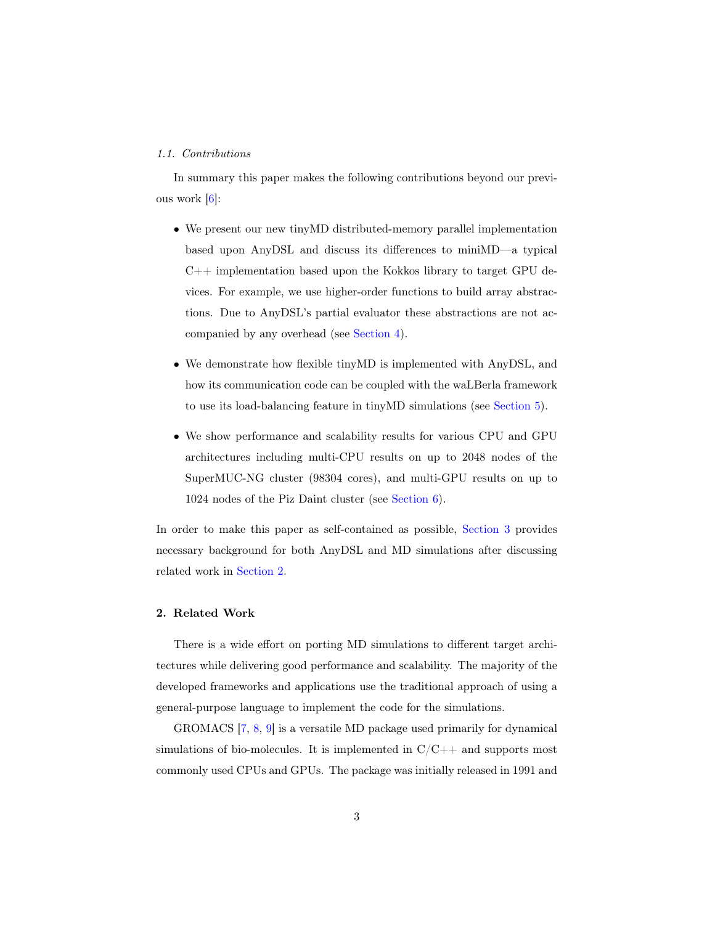## 1.1. Contributions

In summary this paper makes the following contributions beyond our previous work [\[6\]](#page-30-5):

- We present our new tinyMD distributed-memory parallel implementation based upon AnyDSL and discuss its differences to miniMD—a typical  $C_{++}$  implementation based upon the Kokkos library to target GPU devices. For example, we use higher-order functions to build array abstractions. Due to AnyDSL's partial evaluator these abstractions are not accompanied by any overhead (see [Section 4\)](#page-8-0).
- We demonstrate how flexible tinyMD is implemented with AnyDSL, and how its communication code can be coupled with the waLBerla framework to use its load-balancing feature in tinyMD simulations (see [Section 5\)](#page-18-0).
- We show performance and scalability results for various CPU and GPU architectures including multi-CPU results on up to 2048 nodes of the SuperMUC-NG cluster (98304 cores), and multi-GPU results on up to 1024 nodes of the Piz Daint cluster (see [Section 6\)](#page-22-0).

In order to make this paper as self-contained as possible, [Section 3](#page-4-0) provides necessary background for both AnyDSL and MD simulations after discussing related work in [Section 2.](#page-2-0)

#### <span id="page-2-0"></span>2. Related Work

There is a wide effort on porting MD simulations to different target architectures while delivering good performance and scalability. The majority of the developed frameworks and applications use the traditional approach of using a general-purpose language to implement the code for the simulations.

GROMACS [\[7,](#page-30-6) [8,](#page-31-0) [9\]](#page-31-1) is a versatile MD package used primarily for dynamical simulations of bio-molecules. It is implemented in  $C/C++$  and supports most commonly used CPUs and GPUs. The package was initially released in 1991 and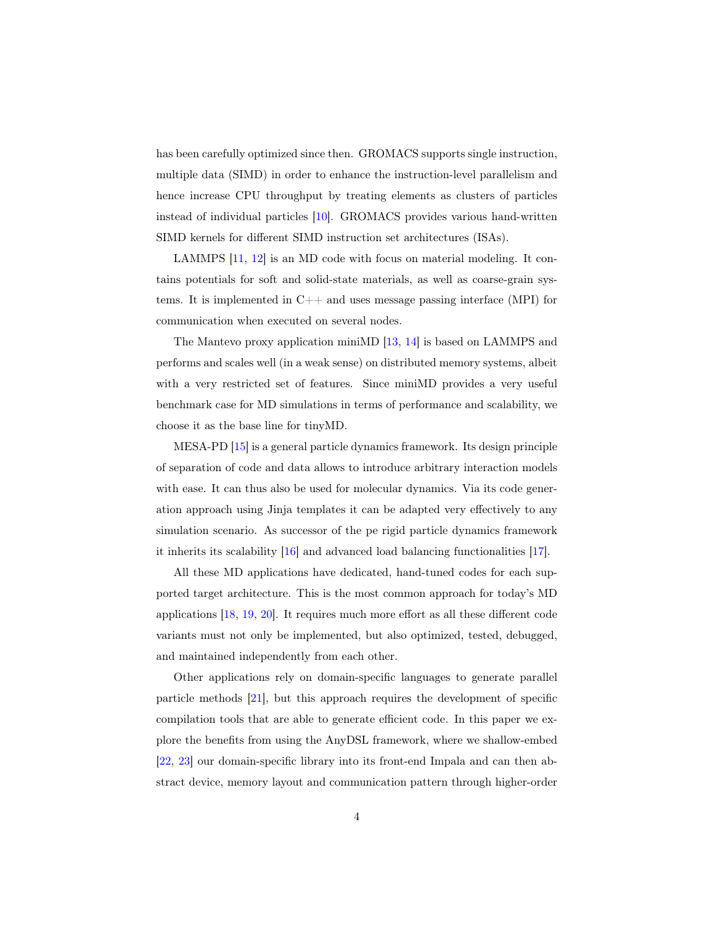has been carefully optimized since then. GROMACS supports single instruction, multiple data (SIMD) in order to enhance the instruction-level parallelism and hence increase CPU throughput by treating elements as clusters of particles instead of individual particles [\[10\]](#page-31-2). GROMACS provides various hand-written SIMD kernels for different SIMD instruction set architectures (ISAs).

LAMMPS [\[11,](#page-31-3) [12\]](#page-31-4) is an MD code with focus on material modeling. It contains potentials for soft and solid-state materials, as well as coarse-grain systems. It is implemented in  $C++$  and uses message passing interface (MPI) for communication when executed on several nodes.

The Mantevo proxy application miniMD [\[13,](#page-31-5) [14\]](#page-31-6) is based on LAMMPS and performs and scales well (in a weak sense) on distributed memory systems, albeit with a very restricted set of features. Since miniMD provides a very useful benchmark case for MD simulations in terms of performance and scalability, we choose it as the base line for tinyMD.

MESA-PD [\[15\]](#page-32-0) is a general particle dynamics framework. Its design principle of separation of code and data allows to introduce arbitrary interaction models with ease. It can thus also be used for molecular dynamics. Via its code generation approach using Jinja templates it can be adapted very effectively to any simulation scenario. As successor of the pe rigid particle dynamics framework it inherits its scalability [\[16\]](#page-32-1) and advanced load balancing functionalities [\[17\]](#page-32-2).

All these MD applications have dedicated, hand-tuned codes for each supported target architecture. This is the most common approach for today's MD applications [\[18,](#page-32-3) [19,](#page-32-4) [20\]](#page-32-5). It requires much more effort as all these different code variants must not only be implemented, but also optimized, tested, debugged, and maintained independently from each other.

Other applications rely on domain-specific languages to generate parallel particle methods [\[21\]](#page-32-6), but this approach requires the development of specific compilation tools that are able to generate efficient code. In this paper we explore the benefits from using the AnyDSL framework, where we shallow-embed [\[22,](#page-33-0) [23\]](#page-33-1) our domain-specific library into its front-end Impala and can then abstract device, memory layout and communication pattern through higher-order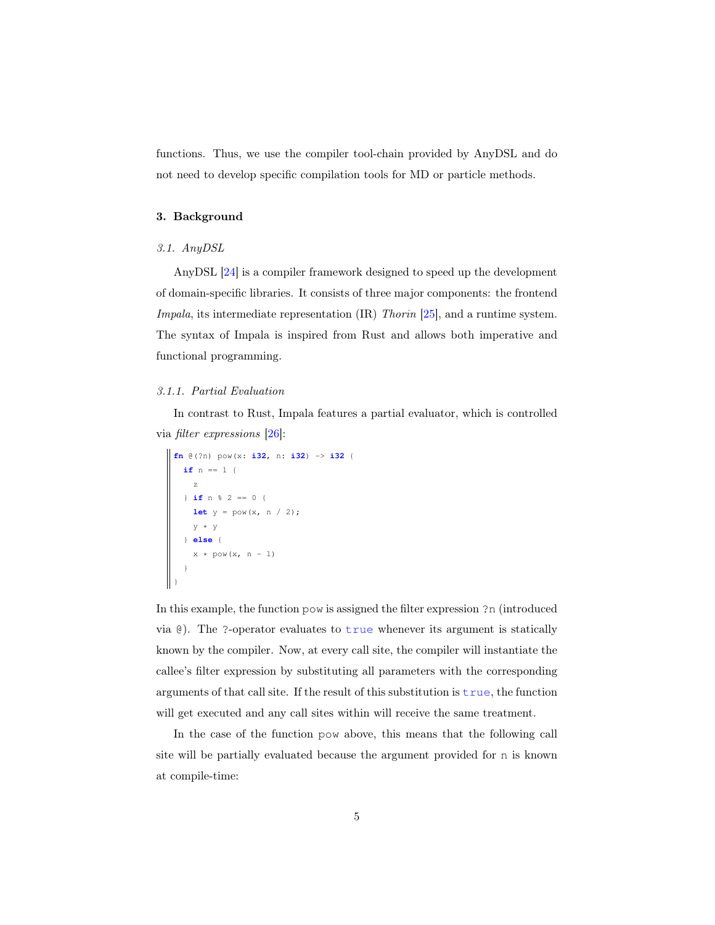functions. Thus, we use the compiler tool-chain provided by AnyDSL and do not need to develop specific compilation tools for MD or particle methods.

## <span id="page-4-0"></span>3. Background

#### 3.1. AnyDSL

AnyDSL [\[24\]](#page-33-2) is a compiler framework designed to speed up the development of domain-specific libraries. It consists of three major components: the frontend Impala, its intermediate representation (IR) Thorin [\[25\]](#page-33-3), and a runtime system. The syntax of Impala is inspired from Rust and allows both imperative and functional programming.

#### 3.1.1. Partial Evaluation

In contrast to Rust, Impala features a partial evaluator, which is controlled via filter expressions [\[26\]](#page-33-4):

```
fn @(?n) pow(x: i32, n: i32) -> i32 {
 if n == 1 {
    z
} if n % 2 == 0 {
    let y = pow(x, n / 2);y * y
  } else {
    x * pow(x, n - 1)}
}
```
In this example, the function pow is assigned the filter expression ?n (introduced via @). The ?-operator evaluates to true whenever its argument is statically known by the compiler. Now, at every call site, the compiler will instantiate the callee's filter expression by substituting all parameters with the corresponding arguments of that call site. If the result of this substitution is  $true$ , the function will get executed and any call sites within will receive the same treatment.

In the case of the function pow above, this means that the following call site will be partially evaluated because the argument provided for n is known at compile-time: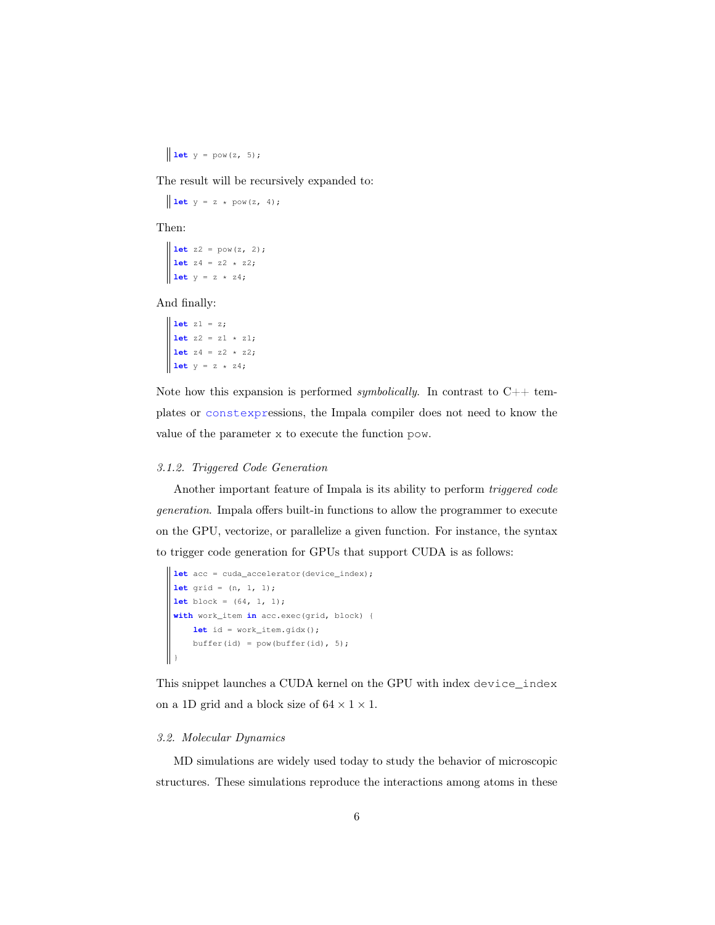$\|\text{let } y = \text{pow}(z, 5);$ 

The result will be recursively expanded to:

**let**  $y = z * pow(z, 4)$ ;

Then:

**let**  $z^2 = pow(z, 2)$ ; **let** z4 = z2 \* z2; **let**  $y = z * z4;$ 

And finally:

 $\det z1 = z;$ **let** z2 = z1 \* z1; **let** z4 = z2 \* z2; **let**  $y = z * z4;$ 

Note how this expansion is performed *symbolically*. In contrast to  $C++$  templates or constexpressions, the Impala compiler does not need to know the value of the parameter x to execute the function pow.

#### 3.1.2. Triggered Code Generation

Another important feature of Impala is its ability to perform triggered code generation. Impala offers built-in functions to allow the programmer to execute on the GPU, vectorize, or parallelize a given function. For instance, the syntax to trigger code generation for GPUs that support CUDA is as follows:

```
let acc = cuda_accelerator(device_index);
\left| \right| let grid = (n, 1, 1);
 let block = (64, 1, 1);
 with work_item in acc.exec(grid, block) {
      let id = work_item.gidx();
    buffer(id) = pow(buster(id), 5);
 }
```
This snippet launches a CUDA kernel on the GPU with index device\_index on a 1D grid and a block size of  $64 \times 1 \times 1$ .

## 3.2. Molecular Dynamics

MD simulations are widely used today to study the behavior of microscopic structures. These simulations reproduce the interactions among atoms in these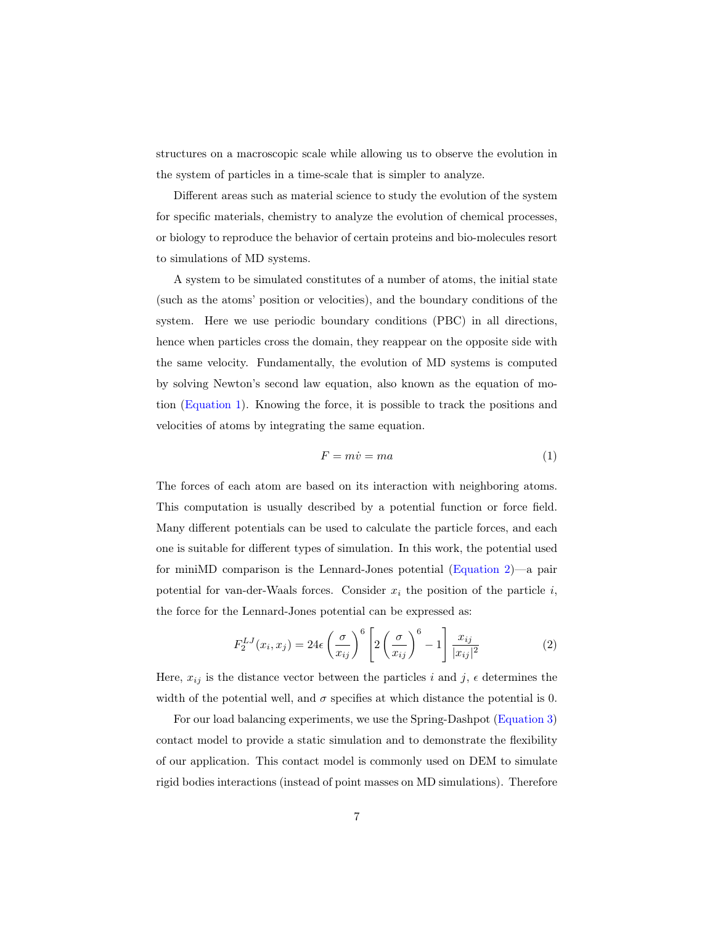structures on a macroscopic scale while allowing us to observe the evolution in the system of particles in a time-scale that is simpler to analyze.

Different areas such as material science to study the evolution of the system for specific materials, chemistry to analyze the evolution of chemical processes, or biology to reproduce the behavior of certain proteins and bio-molecules resort to simulations of MD systems.

A system to be simulated constitutes of a number of atoms, the initial state (such as the atoms' position or velocities), and the boundary conditions of the system. Here we use periodic boundary conditions (PBC) in all directions, hence when particles cross the domain, they reappear on the opposite side with the same velocity. Fundamentally, the evolution of MD systems is computed by solving Newton's second law equation, also known as the equation of motion [\(Equation 1\)](#page-6-0). Knowing the force, it is possible to track the positions and velocities of atoms by integrating the same equation.

<span id="page-6-0"></span>
$$
F = m\dot{v} = ma \tag{1}
$$

The forces of each atom are based on its interaction with neighboring atoms. This computation is usually described by a potential function or force field. Many different potentials can be used to calculate the particle forces, and each one is suitable for different types of simulation. In this work, the potential used for miniMD comparison is the Lennard-Jones potential [\(Equation 2\)](#page-6-1)—a pair potential for van-der-Waals forces. Consider  $x_i$  the position of the particle i, the force for the Lennard-Jones potential can be expressed as:

<span id="page-6-1"></span>
$$
F_2^{LJ}(x_i, x_j) = 24\epsilon \left(\frac{\sigma}{x_{ij}}\right)^6 \left[2\left(\frac{\sigma}{x_{ij}}\right)^6 - 1\right] \frac{x_{ij}}{|x_{ij}|^2}
$$
 (2)

Here,  $x_{ij}$  is the distance vector between the particles i and j,  $\epsilon$  determines the width of the potential well, and  $\sigma$  specifies at which distance the potential is 0.

For our load balancing experiments, we use the Spring-Dashpot [\(Equation 3\)](#page-7-0) contact model to provide a static simulation and to demonstrate the flexibility of our application. This contact model is commonly used on DEM to simulate rigid bodies interactions (instead of point masses on MD simulations). Therefore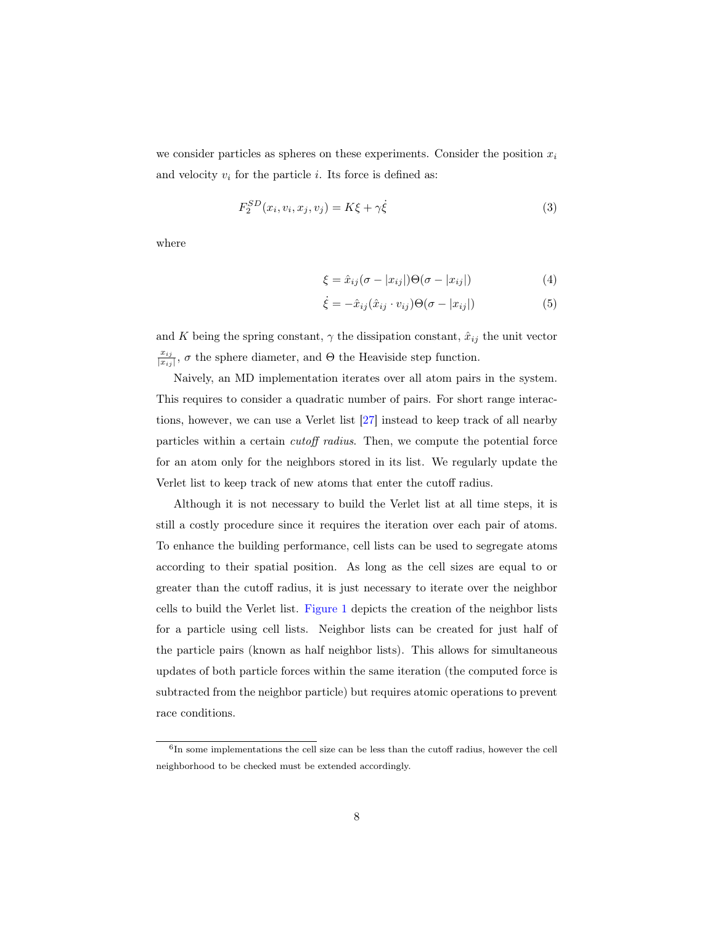we consider particles as spheres on these experiments. Consider the position  $x_i$ and velocity  $v_i$  for the particle i. Its force is defined as:

$$
F_2^{SD}(x_i, v_i, x_j, v_j) = K\xi + \gamma \dot{\xi}
$$
\n(3)

where

<span id="page-7-0"></span>
$$
\xi = \hat{x}_{ij}(\sigma - |x_{ij}|)\Theta(\sigma - |x_{ij}|) \tag{4}
$$

$$
\dot{\xi} = -\hat{x}_{ij}(\hat{x}_{ij} \cdot v_{ij})\Theta(\sigma - |x_{ij}|)
$$
\n(5)

and K being the spring constant,  $\gamma$  the dissipation constant,  $\hat{x}_{ij}$  the unit vector  $x_{ij}$  $\frac{x_{ij}}{|x_{ij}|}$ ,  $\sigma$  the sphere diameter, and  $\Theta$  the Heaviside step function.

Naively, an MD implementation iterates over all atom pairs in the system. This requires to consider a quadratic number of pairs. For short range interactions, however, we can use a Verlet list [\[27\]](#page-33-5) instead to keep track of all nearby particles within a certain cutoff radius. Then, we compute the potential force for an atom only for the neighbors stored in its list. We regularly update the Verlet list to keep track of new atoms that enter the cutoff radius.

Although it is not necessary to build the Verlet list at all time steps, it is still a costly procedure since it requires the iteration over each pair of atoms. To enhance the building performance, cell lists can be used to segregate atoms according to their spatial position. As long as the cell sizes are equal to or greater than the cutoff radius, it is just necessary to iterate over the neighbor cells to build the Verlet list. [Figure 1](#page-8-1) depicts the creation of the neighbor lists for a particle using cell lists. Neighbor lists can be created for just half of the particle pairs (known as half neighbor lists). This allows for simultaneous updates of both particle forces within the same iteration (the computed force is subtracted from the neighbor particle) but requires atomic operations to prevent race conditions.

<span id="page-7-1"></span><sup>&</sup>lt;sup>6</sup>In some implementations the cell size can be less than the cutoff radius, however the cell neighborhood to be checked must be extended accordingly.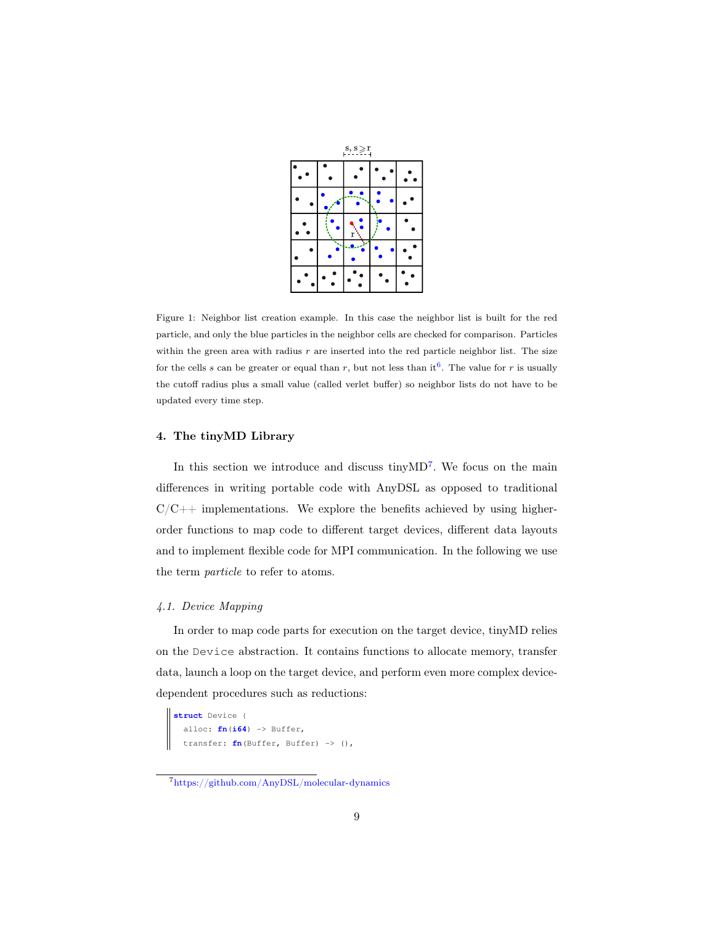| $s, s \geqslant r$ |  |  |  |  |  |
|--------------------|--|--|--|--|--|
|                    |  |  |  |  |  |
|                    |  |  |  |  |  |
|                    |  |  |  |  |  |
|                    |  |  |  |  |  |
|                    |  |  |  |  |  |

<span id="page-8-1"></span>Figure 1: Neighbor list creation example. In this case the neighbor list is built for the red particle, and only the blue particles in the neighbor cells are checked for comparison. Particles within the green area with radius  $r$  are inserted into the red particle neighbor list. The size for the cells s can be greater or equal than r, but not less than it<sup>[6](#page-7-1)</sup>. The value for r is usually the cutoff radius plus a small value (called verlet buffer) so neighbor lists do not have to be updated every time step.

## <span id="page-8-0"></span>4. The tinyMD Library

In this section we introduce and discuss tiny  $MD<sup>7</sup>$  $MD<sup>7</sup>$  $MD<sup>7</sup>$ . We focus on the main differences in writing portable code with AnyDSL as opposed to traditional  $C/C++$  implementations. We explore the benefits achieved by using higherorder functions to map code to different target devices, different data layouts and to implement flexible code for MPI communication. In the following we use the term particle to refer to atoms.

## <span id="page-8-3"></span>4.1. Device Mapping

In order to map code parts for execution on the target device, tinyMD relies on the Device abstraction. It contains functions to allocate memory, transfer data, launch a loop on the target device, and perform even more complex devicedependent procedures such as reductions:

```
struct Device {
  alloc: fn(i64) -> Buffer,
  transfer: fn(Buffer, Buffer) -> (),
```
<span id="page-8-2"></span><sup>7</sup><https://github.com/AnyDSL/molecular-dynamics>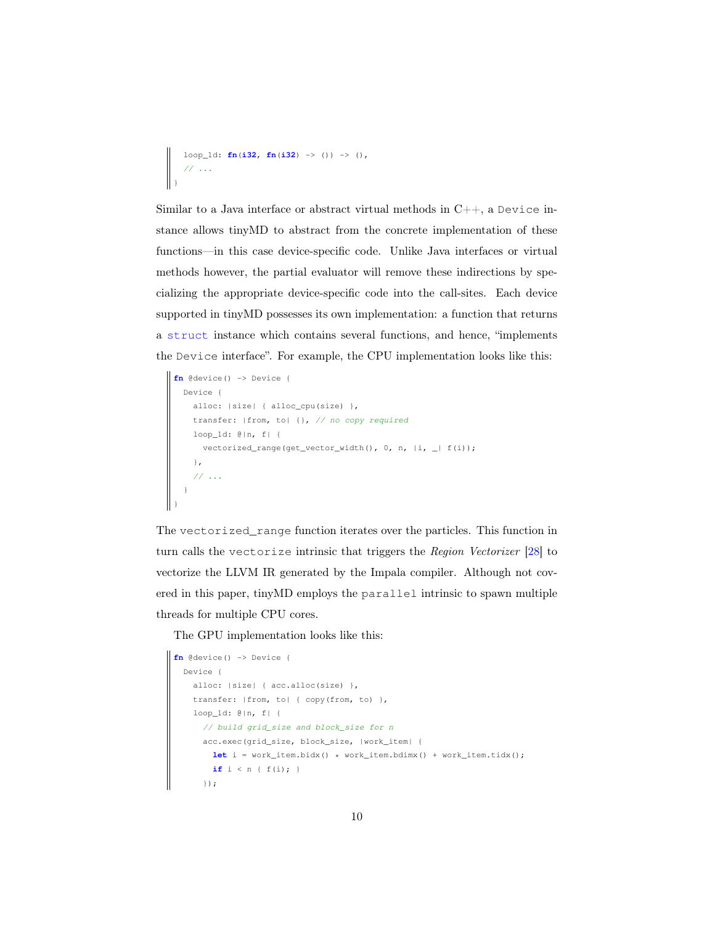```
loop_1d: fn(i32, fn(i32) -> ()) -> (),
  // ...
}
```
Similar to a Java interface or abstract virtual methods in  $C++$ , a Device instance allows tinyMD to abstract from the concrete implementation of these functions—in this case device-specific code. Unlike Java interfaces or virtual methods however, the partial evaluator will remove these indirections by specializing the appropriate device-specific code into the call-sites. Each device supported in tinyMD possesses its own implementation: a function that returns a struct instance which contains several functions, and hence, "implements the Device interface". For example, the CPU implementation looks like this:

```
fn @device() -> Device {
 Device {
   alloc: |size| { alloc_cpu(size) },
  transfer: |from, to| {}, // no copy required
  loop_1d: @|n, f| {
   vectorized_range(get_vector_width(), 0, n, |i, _| f(i));
  },
   // ...
  }
}
```
The vectorized\_range function iterates over the particles. This function in turn calls the vectorize intrinsic that triggers the Region Vectorizer [\[28\]](#page-33-6) to vectorize the LLVM IR generated by the Impala compiler. Although not covered in this paper, tinyMD employs the parallel intrinsic to spawn multiple threads for multiple CPU cores.

The GPU implementation looks like this:

```
fn @device() -> Device {
 Device {
   alloc: |size| { acc.alloc(size) },
   transfer: |from, to| { copy(from, to) },
  loop_1d: @|n, f| {
     // build grid_size and block_size for n
     acc.exec(grid_size, block_size, |work_item| {
       let i = work_item.bidx() * work_item.bdimx() + work_item.tidx();
       if i < n \{ f(i); \}});
```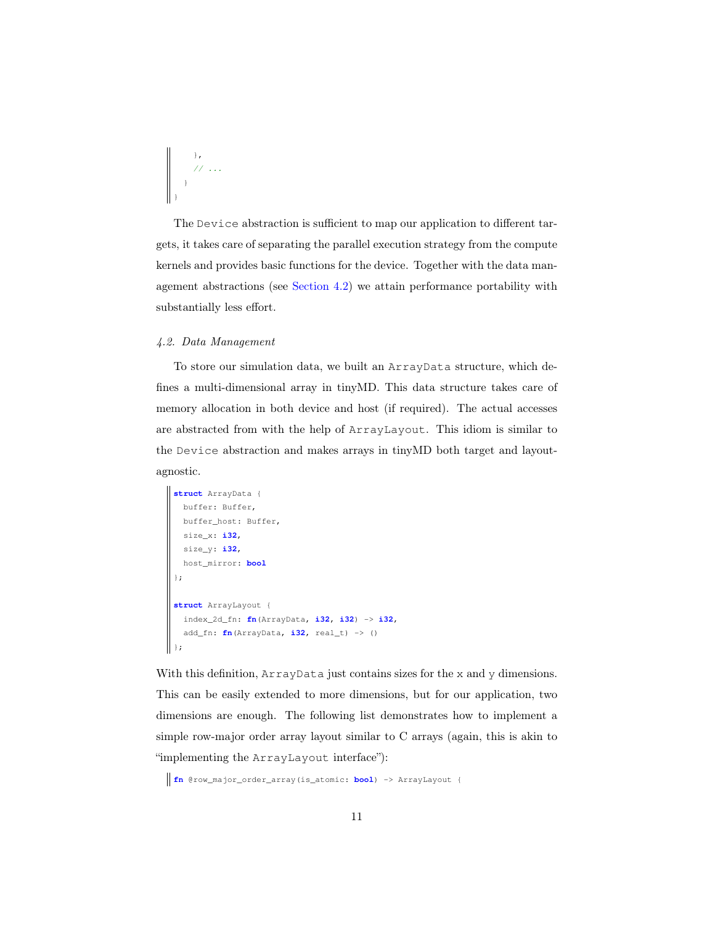```
},
   // ...
  }
}
```
The Device abstraction is sufficient to map our application to different targets, it takes care of separating the parallel execution strategy from the compute kernels and provides basic functions for the device. Together with the data management abstractions (see [Section 4.2\)](#page-10-0) we attain performance portability with substantially less effort.

## <span id="page-10-0"></span>4.2. Data Management

To store our simulation data, we built an ArrayData structure, which defines a multi-dimensional array in tinyMD. This data structure takes care of memory allocation in both device and host (if required). The actual accesses are abstracted from with the help of ArrayLayout. This idiom is similar to the Device abstraction and makes arrays in tinyMD both target and layoutagnostic.

```
struct ArrayData {
   buffer: Buffer,
  buffer_host: Buffer,
  size_x: i32,
  size_y: i32,
  host_mirror: bool
 };
struct ArrayLayout {
  index_2d_fn: fn(ArrayData, i32, i32) -> i32,
  add_fn: fn(ArrayData, i32, real_t) -> ()
II
 };
```
With this definition,  $ArrayData$  just contains sizes for the x and y dimensions. This can be easily extended to more dimensions, but for our application, two dimensions are enough. The following list demonstrates how to implement a simple row-major order array layout similar to C arrays (again, this is akin to "implementing the ArrayLayout interface"):

**fn** @row\_major\_order\_array(is\_atomic: **bool**) -> ArrayLayout {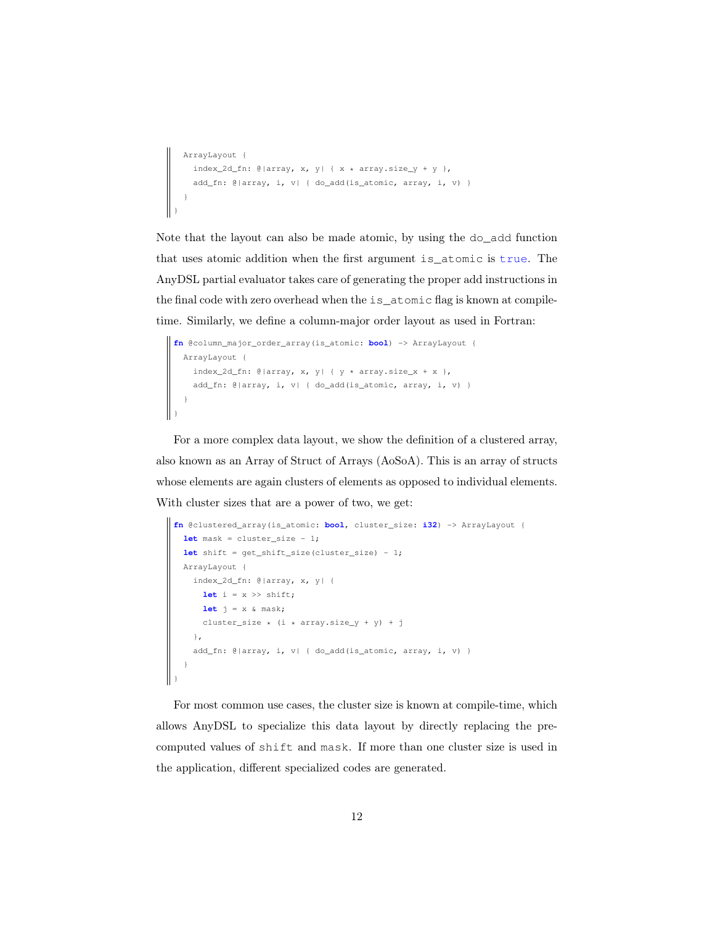```
ArrayLayout {
  index_2d_fn: @|array, x, y| { x * array.size_y + y },
   add_fn: @|array, i, v| { do_add(is_atomic, array, i, v) }
  }
}
```
Note that the layout can also be made atomic, by using the do\_add function that uses atomic addition when the first argument is\_atomic is true. The AnyDSL partial evaluator takes care of generating the proper add instructions in the final code with zero overhead when the is\_atomic flag is known at compiletime. Similarly, we define a column-major order layout as used in Fortran:

```
fn @column_major_order_array(is_atomic: bool) -> ArrayLayout {
 ArrayLayout {
   index_2d_fn: @|array, x, y| { y * array.size_x + x },
   add_fn: @|array, i, v| { do_add(is_atomic, array, i, v) }
 }
}
```
For a more complex data layout, we show the definition of a clustered array, also known as an Array of Struct of Arrays (AoSoA). This is an array of structs whose elements are again clusters of elements as opposed to individual elements. With cluster sizes that are a power of two, we get:

```
fn @clustered_array(is_atomic: bool, cluster_size: i32) -> ArrayLayout {
 let mask = cluster_size - 1;
 let shift = get_shift_size(cluster_size) - 1;
 ArrayLayout {
   index_2d_fn: @|array, x, y| {
     let i = x \gg shift;let j = x & mask;
     cluster_size * (i * array.size_y + y) + j
   },
   add_fn: @|array, i, v| { do_add(is_atomic, array, i, v) }
 }
}
```
For most common use cases, the cluster size is known at compile-time, which allows AnyDSL to specialize this data layout by directly replacing the precomputed values of shift and mask. If more than one cluster size is used in the application, different specialized codes are generated.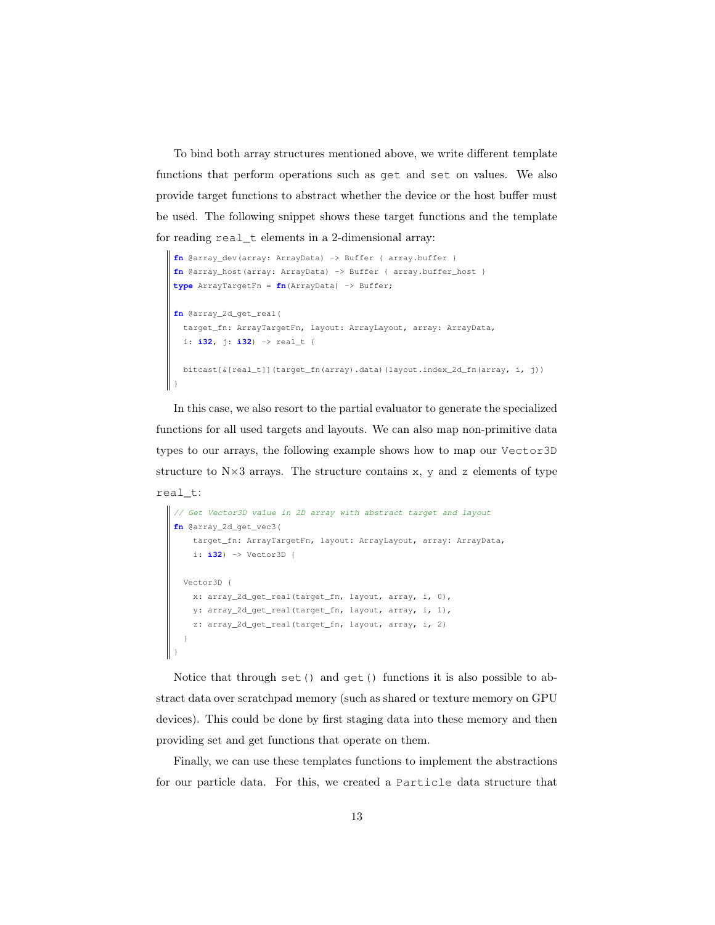To bind both array structures mentioned above, we write different template functions that perform operations such as get and set on values. We also provide target functions to abstract whether the device or the host buffer must be used. The following snippet shows these target functions and the template for reading real\_t elements in a 2-dimensional array:

```
fn @array_dev(array: ArrayData) -> Buffer { array.buffer }
 fn @array_host(array: ArrayData) -> Buffer { array.buffer_host }
 type ArrayTargetFn = fn(ArrayData) -> Buffer;
fn @array_2d_get_real(
  target_fn: ArrayTargetFn, layout: ArrayLayout, array: ArrayData,
  i: i32, j: i32) -> real_t {
  bitcast[&[real_t]](target_fn(array).data)(layout.index_2d_fn(array, i, j))
\parallel }
```
In this case, we also resort to the partial evaluator to generate the specialized functions for all used targets and layouts. We can also map non-primitive data types to our arrays, the following example shows how to map our Vector3D structure to  $N\times3$  arrays. The structure contains x, y and z elements of type real\_t:

```
// Get Vector3D value in 2D array with abstract target and layout
fn @array_2d_get_vec3(
    target_fn: ArrayTargetFn, layout: ArrayLayout, array: ArrayData,
    i: i32) -> Vector3D {
  Vector3D {
    x: array_2d_get_real(target_fn, layout, array, i, 0),
    y: array_2d_get_real(target_fn, layout, array, i, 1),
    z: array_2d_get_real(target_fn, layout, array, i, 2)
  }
\parallel }
```
Notice that through set() and get() functions it is also possible to abstract data over scratchpad memory (such as shared or texture memory on GPU devices). This could be done by first staging data into these memory and then providing set and get functions that operate on them.

Finally, we can use these templates functions to implement the abstractions for our particle data. For this, we created a Particle data structure that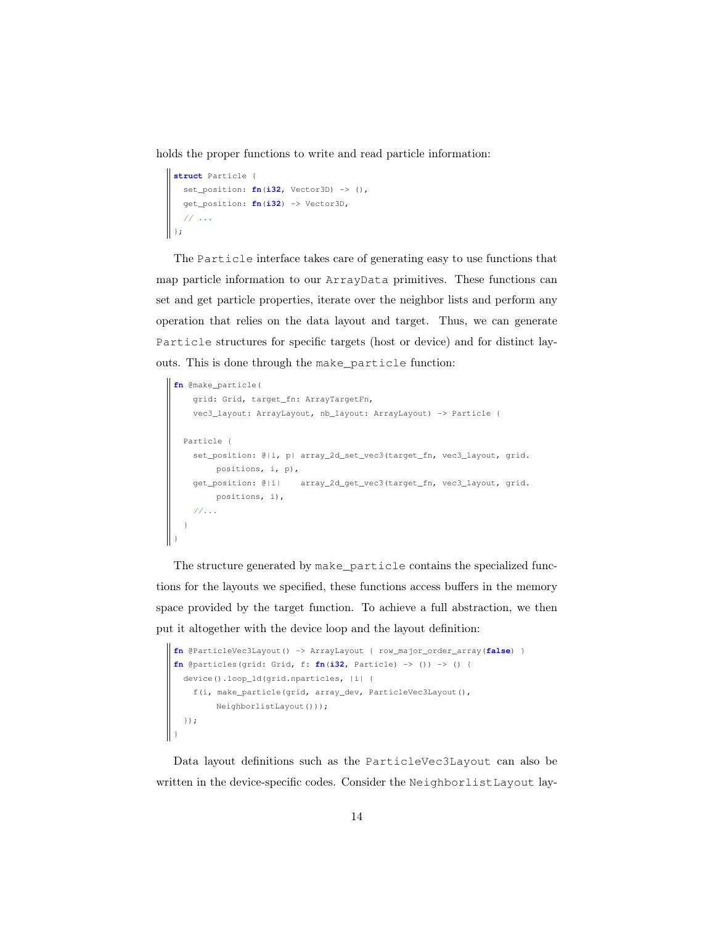holds the proper functions to write and read particle information:

```
struct Particle {
  set_position: fn(i32, Vector3D) -> (),
  get_position: fn(i32) -> Vector3D,
   // ...
\|\,\},
```
The Particle interface takes care of generating easy to use functions that map particle information to our ArrayData primitives. These functions can set and get particle properties, iterate over the neighbor lists and perform any operation that relies on the data layout and target. Thus, we can generate Particle structures for specific targets (host or device) and for distinct layouts. This is done through the make\_particle function:

```
fn @make_particle(
   grid: Grid, target_fn: ArrayTargetFn,
   vec3_layout: ArrayLayout, nb_layout: ArrayLayout) -> Particle {
 Particle {
   set_position: @|i, p| array_2d_set_vec3(target_fn, vec3_layout, grid.
      positions, i, p),
   get_position: @|i| array_2d_get_vec3(target_fn, vec3_layout, grid.
      positions, i),
   //...
 }
}
```
The structure generated by make\_particle contains the specialized functions for the layouts we specified, these functions access buffers in the memory space provided by the target function. To achieve a full abstraction, we then put it altogether with the device loop and the layout definition:

```
fn @ParticleVec3Layout() -> ArrayLayout { row_major_order_array(false) }
fn @particles(grid: Grid, f: fn(i32, Particle) -> ()) -> () {
 device().loop_1d(grid.nparticles, |i| {
   f(i, make_particle(grid, array_dev, ParticleVec3Layout(),
      NeighborlistLayout()));
 });
}
```
Data layout definitions such as the ParticleVec3Layout can also be written in the device-specific codes. Consider the NeighborlistLayout lay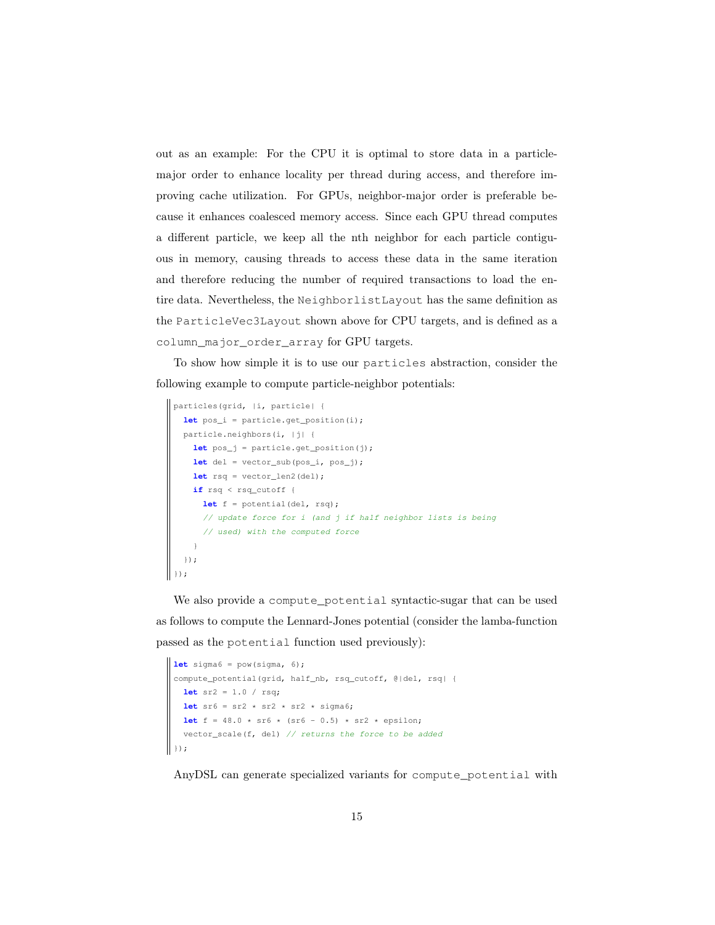out as an example: For the CPU it is optimal to store data in a particlemajor order to enhance locality per thread during access, and therefore improving cache utilization. For GPUs, neighbor-major order is preferable because it enhances coalesced memory access. Since each GPU thread computes a different particle, we keep all the nth neighbor for each particle contiguous in memory, causing threads to access these data in the same iteration and therefore reducing the number of required transactions to load the entire data. Nevertheless, the NeighborlistLayout has the same definition as the ParticleVec3Layout shown above for CPU targets, and is defined as a column major order array for GPU targets.

To show how simple it is to use our particles abstraction, consider the following example to compute particle-neighbor potentials:

```
particles(grid, |i, particle| {
  let pos_i = particle.get_position(i);
  particle.neighbors(i, |j| {
    let pos_j = particle.get_position(j);
    let del = vector_sub(pos_i, pos_j);
    let rsq = vector_len2(del);
     if rsq < rsq_cutoff {
     let f = potential(det, rsq);
      // update force for i (and j if half neighbor lists is being
      // used) with the computed force
    }
  });
\vert \vert } ) ;
```
We also provide a compute\_potential syntactic-sugar that can be used as follows to compute the Lennard-Jones potential (consider the lamba-function passed as the potential function used previously):

```
let sigma6 = pow(sigma, 6);
compute_potential(grid, half_nb, rsq_cutoff, @|del, rsq| {
 let sr2 = 1.0 / rsq;
 let \text{sr6} = \text{sr2} \times \text{sr2} \times \text{sr2} \times \text{sigma6};
 let f = 48.0 * sr6 * (sr6 - 0.5) * sr2 * epsilon;vector_scale(f, del) // returns the force to be added
});
```
AnyDSL can generate specialized variants for compute\_potential with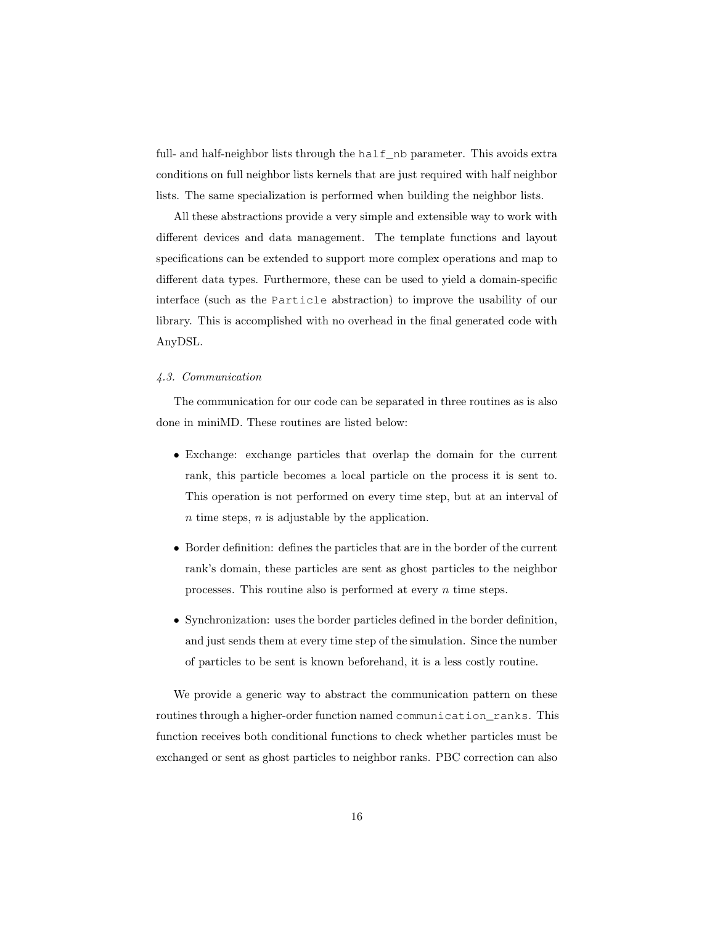full- and half-neighbor lists through the half\_nb parameter. This avoids extra conditions on full neighbor lists kernels that are just required with half neighbor lists. The same specialization is performed when building the neighbor lists.

All these abstractions provide a very simple and extensible way to work with different devices and data management. The template functions and layout specifications can be extended to support more complex operations and map to different data types. Furthermore, these can be used to yield a domain-specific interface (such as the Particle abstraction) to improve the usability of our library. This is accomplished with no overhead in the final generated code with AnyDSL.

## <span id="page-15-0"></span>4.3. Communication

The communication for our code can be separated in three routines as is also done in miniMD. These routines are listed below:

- Exchange: exchange particles that overlap the domain for the current rank, this particle becomes a local particle on the process it is sent to. This operation is not performed on every time step, but at an interval of  $n$  time steps,  $n$  is adjustable by the application.
- Border definition: defines the particles that are in the border of the current rank's domain, these particles are sent as ghost particles to the neighbor processes. This routine also is performed at every  $n$  time steps.
- Synchronization: uses the border particles defined in the border definition, and just sends them at every time step of the simulation. Since the number of particles to be sent is known beforehand, it is a less costly routine.

We provide a generic way to abstract the communication pattern on these routines through a higher-order function named communication\_ranks. This function receives both conditional functions to check whether particles must be exchanged or sent as ghost particles to neighbor ranks. PBC correction can also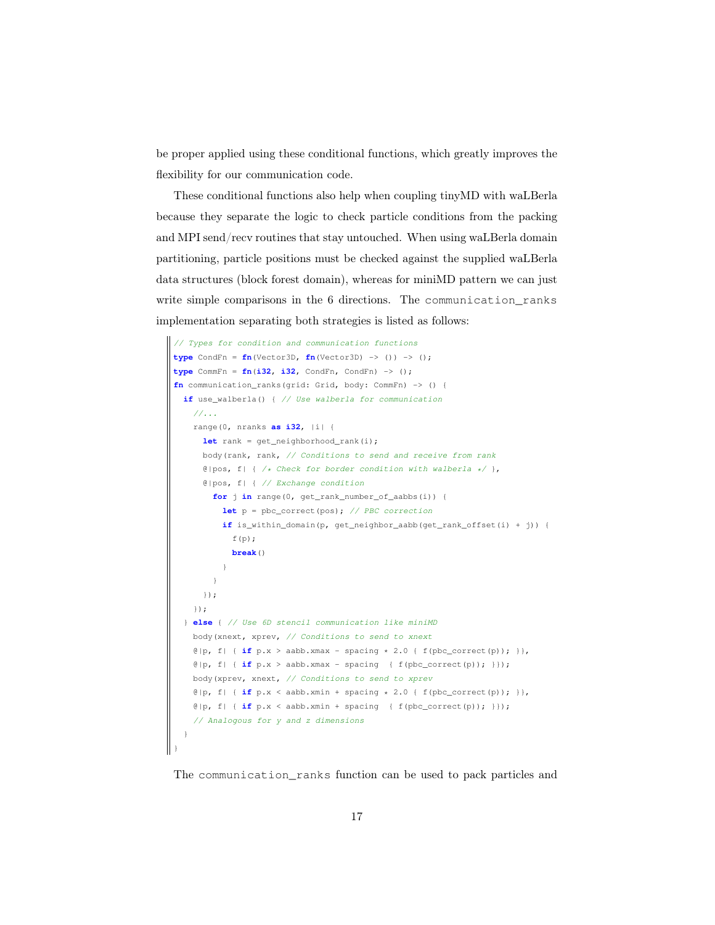be proper applied using these conditional functions, which greatly improves the flexibility for our communication code.

These conditional functions also help when coupling tinyMD with waLBerla because they separate the logic to check particle conditions from the packing and MPI send/recv routines that stay untouched. When using waLBerla domain partitioning, particle positions must be checked against the supplied waLBerla data structures (block forest domain), whereas for miniMD pattern we can just write simple comparisons in the 6 directions. The communication\_ranks implementation separating both strategies is listed as follows:

```
// Types for condition and communication functions
type CondFn = fn(Vector3D, fn(Vector3D) -> ()) -> ();
type CommFn = fn(i32, i32, CondFn, CondFn) -> ();
fn communication_ranks(grid: Grid, body: CommFn) -> () {
 if use_walberla() { // Use walberla for communication
    //...
    range(0, nranks as i32, |i| {
      let rank = get_neighborhood_rank(i);
      body(rank, rank, // Conditions to send and receive from rank
      @|pos, f| \{ /* Check for border condition with walberla */ },
      @|pos, f| { // Exchange condition
        for j in range(0, get_rank_number_of_aabbs(i)) {
          let p = pbc_correct(pos); // PBC correction
          if is_within_domain(p, get_neighbor_aabb(get_rank_offset(i) + j)) {
            f(p);
            break()
           }
        }
      });
    });
  } else { // Use 6D stencil communication like miniMD
    body(xnext, xprev, // Conditions to send to xnext
    \lbrack \ell \rbrack p, f \rbrack { if p.x > aabb.xmax - spacing * 2.0 { f(pbc_correct(p)); }},
    \ell |p, f| { \textbf{if } p.x > aabb.xmax - spacing { f(pbc\_correct(p)); } });
    body(xprev, xnext, // Conditions to send to xprev
    \lbrack \ell \rbrack p, f| { if p.x < aabb.xmin + spacing * 2.0 { f(pbc_correct(p)); }},
    \ell | p, f | \{ \text{ if } p.x \leq aabb.xml + spacing \{ f(pbc\_correct(p)); \} });// Analogous for y and z dimensions
  }
}
```
The communication\_ranks function can be used to pack particles and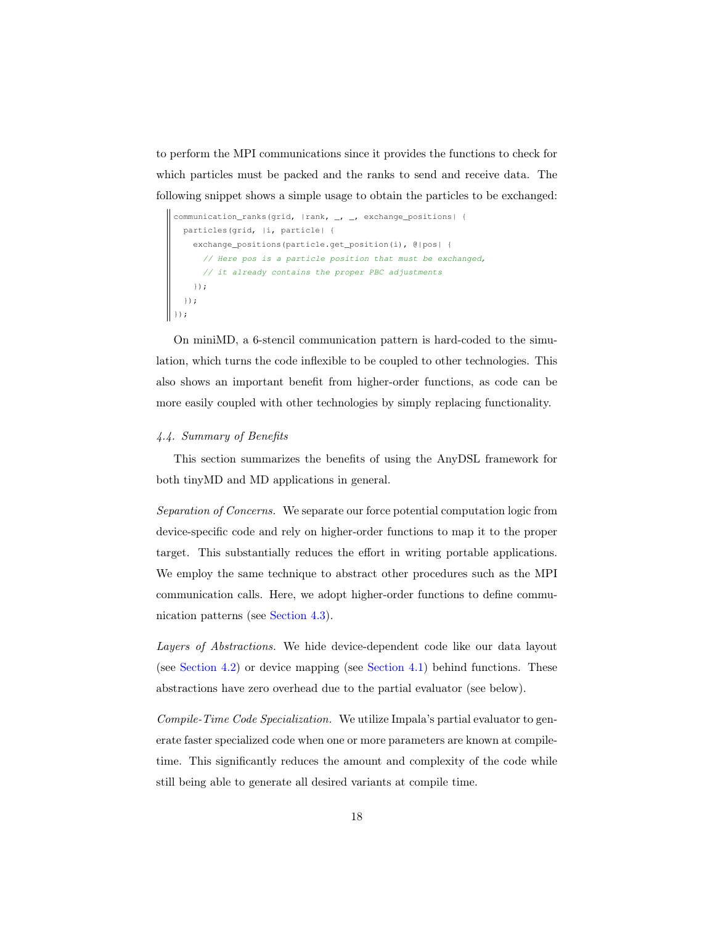to perform the MPI communications since it provides the functions to check for which particles must be packed and the ranks to send and receive data. The following snippet shows a simple usage to obtain the particles to be exchanged:

```
communication_ranks(grid, |rank, _, _, exchange_positions| {
   particles(grid, |i, particle| {
    exchange_positions(particle.get_position(i), @|pos| {
        // Here pos is a particle position that must be exchanged,
        // it already contains the proper PBC adjustments
     });
   });
\vert \vert } ) ;
```
On miniMD, a 6-stencil communication pattern is hard-coded to the simulation, which turns the code inflexible to be coupled to other technologies. This also shows an important benefit from higher-order functions, as code can be more easily coupled with other technologies by simply replacing functionality.

# 4.4. Summary of Benefits

This section summarizes the benefits of using the AnyDSL framework for both tinyMD and MD applications in general.

Separation of Concerns. We separate our force potential computation logic from device-specific code and rely on higher-order functions to map it to the proper target. This substantially reduces the effort in writing portable applications. We employ the same technique to abstract other procedures such as the MPI communication calls. Here, we adopt higher-order functions to define communication patterns (see [Section 4.3\)](#page-15-0).

Layers of Abstractions. We hide device-dependent code like our data layout (see [Section 4.2\)](#page-10-0) or device mapping (see [Section 4.1\)](#page-8-3) behind functions. These abstractions have zero overhead due to the partial evaluator (see below).

Compile-Time Code Specialization. We utilize Impala's partial evaluator to generate faster specialized code when one or more parameters are known at compiletime. This significantly reduces the amount and complexity of the code while still being able to generate all desired variants at compile time.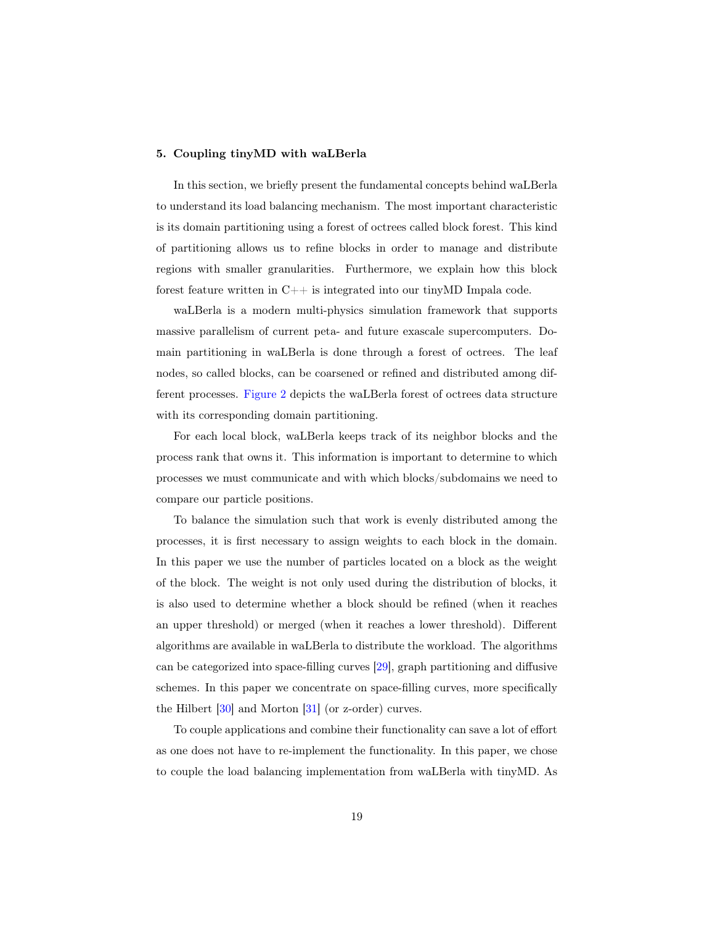## <span id="page-18-0"></span>5. Coupling tinyMD with waLBerla

In this section, we briefly present the fundamental concepts behind waLBerla to understand its load balancing mechanism. The most important characteristic is its domain partitioning using a forest of octrees called block forest. This kind of partitioning allows us to refine blocks in order to manage and distribute regions with smaller granularities. Furthermore, we explain how this block forest feature written in  $C++$  is integrated into our tiny MD Impala code.

waLBerla is a modern multi-physics simulation framework that supports massive parallelism of current peta- and future exascale supercomputers. Domain partitioning in waLBerla is done through a forest of octrees. The leaf nodes, so called blocks, can be coarsened or refined and distributed among different processes. [Figure 2](#page-19-0) depicts the waLBerla forest of octrees data structure with its corresponding domain partitioning.

For each local block, waLBerla keeps track of its neighbor blocks and the process rank that owns it. This information is important to determine to which processes we must communicate and with which blocks/subdomains we need to compare our particle positions.

To balance the simulation such that work is evenly distributed among the processes, it is first necessary to assign weights to each block in the domain. In this paper we use the number of particles located on a block as the weight of the block. The weight is not only used during the distribution of blocks, it is also used to determine whether a block should be refined (when it reaches an upper threshold) or merged (when it reaches a lower threshold). Different algorithms are available in waLBerla to distribute the workload. The algorithms can be categorized into space-filling curves [\[29\]](#page-33-7), graph partitioning and diffusive schemes. In this paper we concentrate on space-filling curves, more specifically the Hilbert [\[30\]](#page-34-0) and Morton [\[31\]](#page-34-1) (or z-order) curves.

To couple applications and combine their functionality can save a lot of effort as one does not have to re-implement the functionality. In this paper, we chose to couple the load balancing implementation from waLBerla with tinyMD. As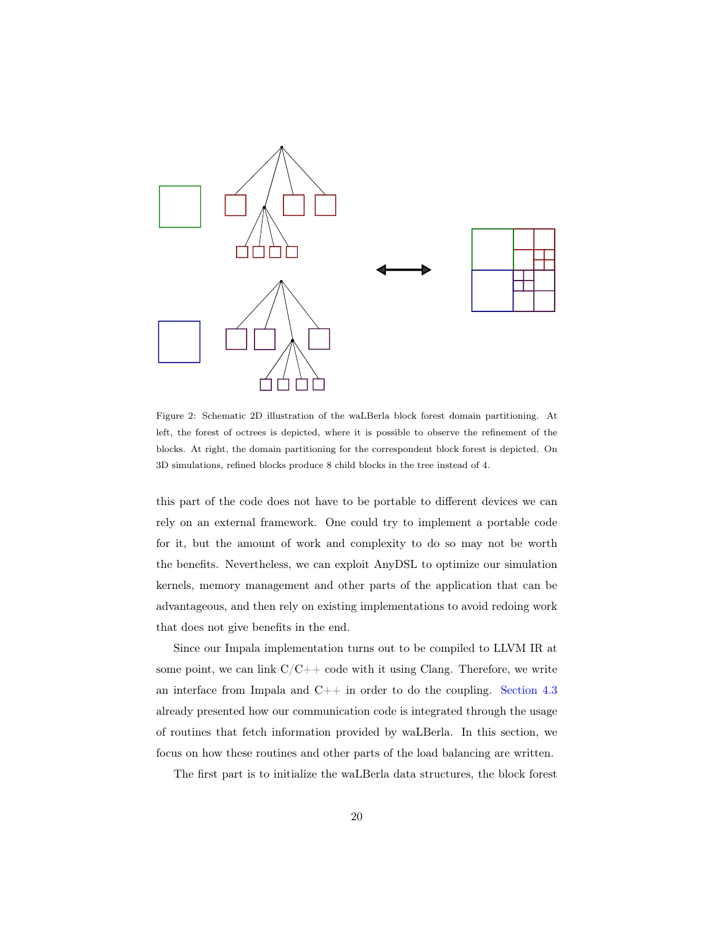

<span id="page-19-0"></span>Figure 2: Schematic 2D illustration of the waLBerla block forest domain partitioning. At left, the forest of octrees is depicted, where it is possible to observe the refinement of the blocks. At right, the domain partitioning for the correspondent block forest is depicted. On 3D simulations, refined blocks produce 8 child blocks in the tree instead of 4.

this part of the code does not have to be portable to different devices we can rely on an external framework. One could try to implement a portable code for it, but the amount of work and complexity to do so may not be worth the benefits. Nevertheless, we can exploit AnyDSL to optimize our simulation kernels, memory management and other parts of the application that can be advantageous, and then rely on existing implementations to avoid redoing work that does not give benefits in the end.

Since our Impala implementation turns out to be compiled to LLVM IR at some point, we can link  $C/C++$  code with it using Clang. Therefore, we write an interface from Impala and C++ in order to do the coupling. [Section 4.3](#page-15-0) already presented how our communication code is integrated through the usage of routines that fetch information provided by waLBerla. In this section, we focus on how these routines and other parts of the load balancing are written.

The first part is to initialize the waLBerla data structures, the block forest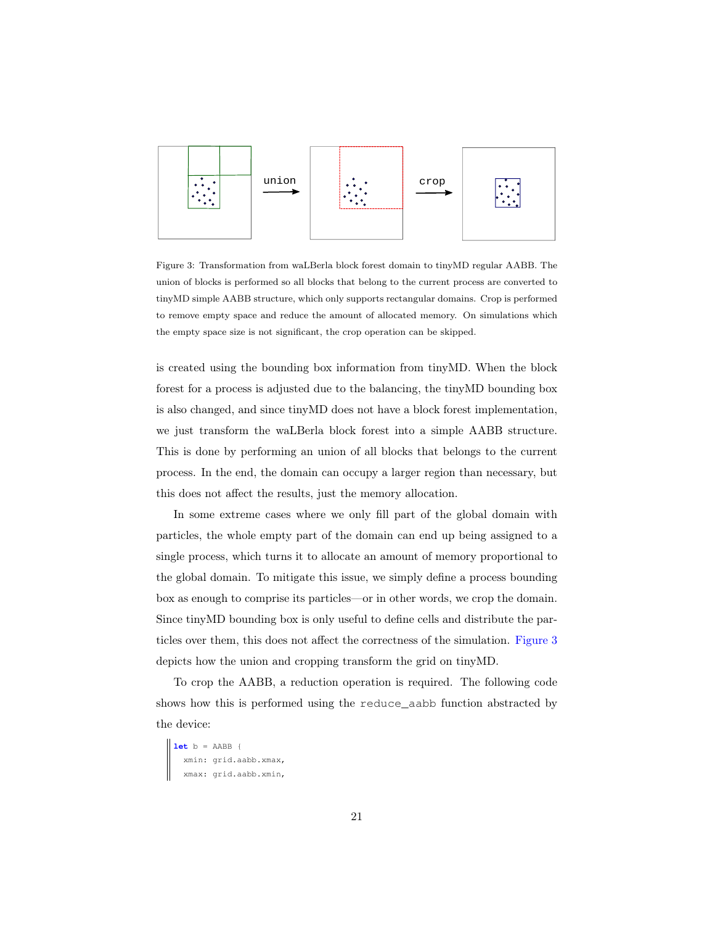

<span id="page-20-0"></span>Figure 3: Transformation from waLBerla block forest domain to tinyMD regular AABB. The union of blocks is performed so all blocks that belong to the current process are converted to tinyMD simple AABB structure, which only supports rectangular domains. Crop is performed to remove empty space and reduce the amount of allocated memory. On simulations which the empty space size is not significant, the crop operation can be skipped.

is created using the bounding box information from tinyMD. When the block forest for a process is adjusted due to the balancing, the tinyMD bounding box is also changed, and since tinyMD does not have a block forest implementation, we just transform the waLBerla block forest into a simple AABB structure. This is done by performing an union of all blocks that belongs to the current process. In the end, the domain can occupy a larger region than necessary, but this does not affect the results, just the memory allocation.

In some extreme cases where we only fill part of the global domain with particles, the whole empty part of the domain can end up being assigned to a single process, which turns it to allocate an amount of memory proportional to the global domain. To mitigate this issue, we simply define a process bounding box as enough to comprise its particles—or in other words, we crop the domain. Since tinyMD bounding box is only useful to define cells and distribute the particles over them, this does not affect the correctness of the simulation. [Figure 3](#page-20-0) depicts how the union and cropping transform the grid on tinyMD.

To crop the AABB, a reduction operation is required. The following code shows how this is performed using the reduce\_aabb function abstracted by the device:

```
let b = AABB {
  xmin: grid.aabb.xmax,
  xmax: grid.aabb.xmin,
```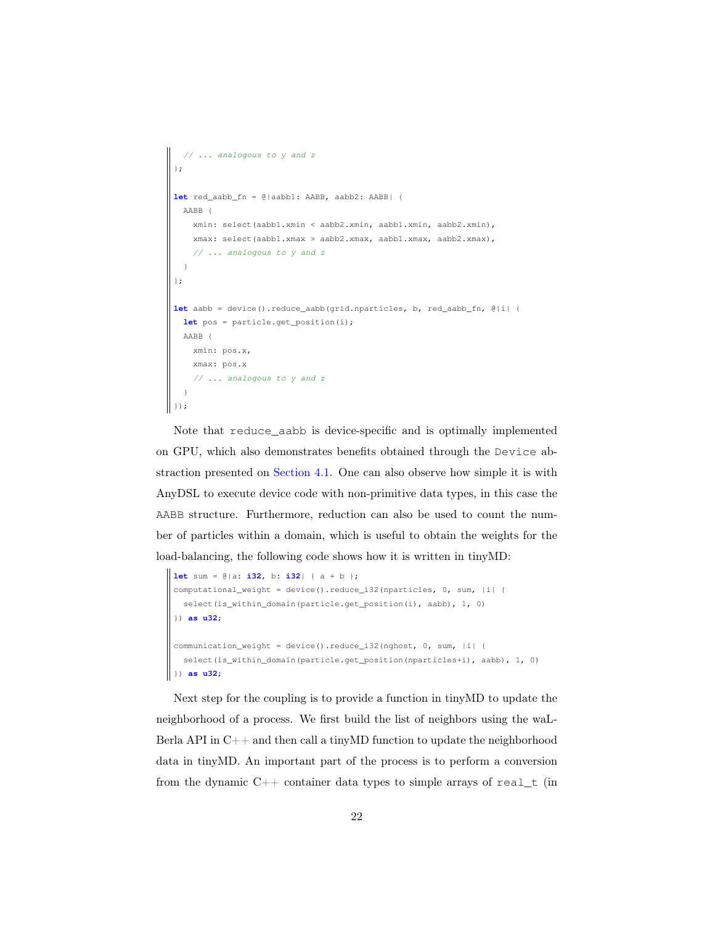```
// ... analogous to y and z
 };
let red_aabb_fn = @|aabb1: AABB, aabb2: AABB| {
  AABB {
     xmin: select(aabb1.xmin < aabb2.xmin, aabb1.xmin, aabb2.xmin),
    xmax: select(aabb1.xmax > aabb2.xmax, aabb1.xmax, aabb2.xmax),
     // ... analogous to y and z
   }
};
let aabb = device().reduce_aabb(grid.nparticles, b, red_aabb_fn, @|i| {
  let pos = particle.get_position(i);
  AABB {
    xmin: pos.x,
    xmax: pos.x
     // ... analogous to y and z
   }
\vert \vert } ) ;
```
Note that reduce\_aabb is device-specific and is optimally implemented on GPU, which also demonstrates benefits obtained through the Device abstraction presented on [Section 4.1.](#page-8-3) One can also observe how simple it is with AnyDSL to execute device code with non-primitive data types, in this case the AABB structure. Furthermore, reduction can also be used to count the number of particles within a domain, which is useful to obtain the weights for the load-balancing, the following code shows how it is written in tinyMD:

```
let sum = @|a: i32, b: i32| { a + b };
computational_weight = device().reduce_i32(nparticles, 0, sum, |i| {
 select(is_within_domain(particle.get_position(i), aabb), 1, 0)
}) as u32;
communication_weight = device().reduce_i32(nghost, 0, sum, |i| {
 select(is_within_domain(particle.get_position(nparticles+i), aabb), 1, 0)
}) as u32;
```
Next step for the coupling is to provide a function in tinyMD to update the neighborhood of a process. We first build the list of neighbors using the waL-Berla API in  $C_{++}$  and then call a tinyMD function to update the neighborhood data in tinyMD. An important part of the process is to perform a conversion from the dynamic  $C++$  container data types to simple arrays of real\_t (in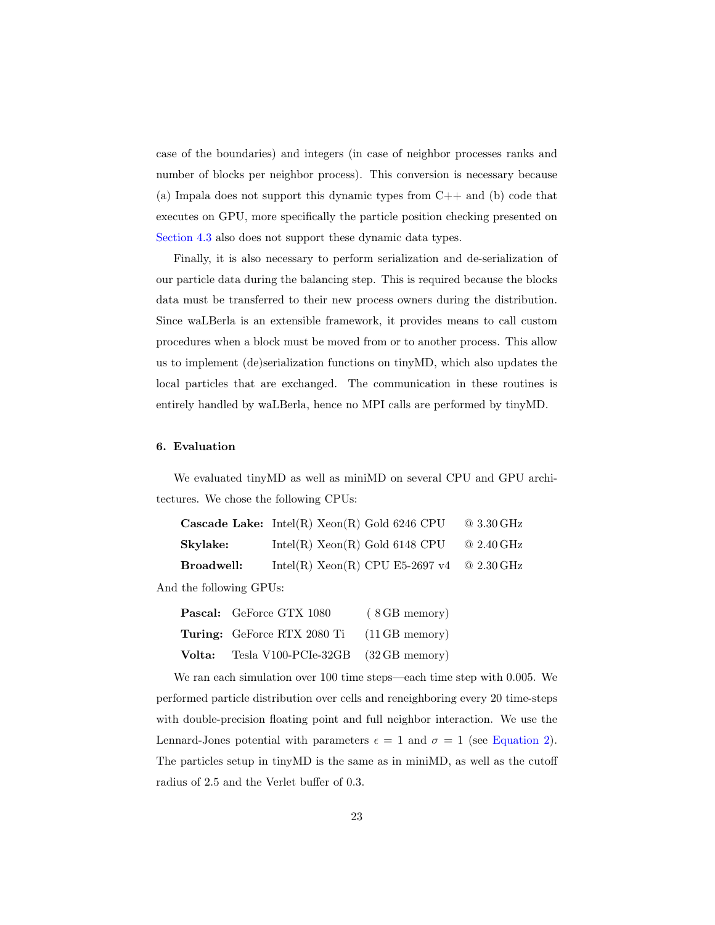case of the boundaries) and integers (in case of neighbor processes ranks and number of blocks per neighbor process). This conversion is necessary because (a) Impala does not support this dynamic types from  $C++$  and (b) code that executes on GPU, more specifically the particle position checking presented on [Section 4.3](#page-15-0) also does not support these dynamic data types.

Finally, it is also necessary to perform serialization and de-serialization of our particle data during the balancing step. This is required because the blocks data must be transferred to their new process owners during the distribution. Since waLBerla is an extensible framework, it provides means to call custom procedures when a block must be moved from or to another process. This allow us to implement (de)serialization functions on tinyMD, which also updates the local particles that are exchanged. The communication in these routines is entirely handled by waLBerla, hence no MPI calls are performed by tinyMD.

## <span id="page-22-0"></span>6. Evaluation

We evaluated tinyMD as well as miniMD on several CPU and GPU architectures. We chose the following CPUs:

|            | Cascade Lake: Intel(R) $Xeon(R)$ Gold 6246 CPU | $@3.30 \text{ GHz}$     |
|------------|------------------------------------------------|-------------------------|
| Skylake:   | Intel(R) $Xeon(R)$ Gold 6148 CPU               | $@2.40 \text{ GHz}$     |
| Broadwell: | Intel(R) $Xeon(R)$ CPU E5-2697 v4              | $\circledcirc$ 2.30 GHz |

And the following GPUs:

| <b>Pascal:</b> GeForce GTX 1080            | $(8GB$ memory) |
|--------------------------------------------|----------------|
| Turing: GeForce RTX 2080 Ti (11 GB memory) |                |
| Volta: Tesla V100-PCIe-32GB (32 GB memory) |                |

We ran each simulation over 100 time steps—each time step with 0.005. We performed particle distribution over cells and reneighboring every 20 time-steps with double-precision floating point and full neighbor interaction. We use the Lennard-Jones potential with parameters  $\epsilon = 1$  and  $\sigma = 1$  (see [Equation 2\)](#page-6-1). The particles setup in tinyMD is the same as in miniMD, as well as the cutoff radius of 2.5 and the Verlet buffer of 0.3.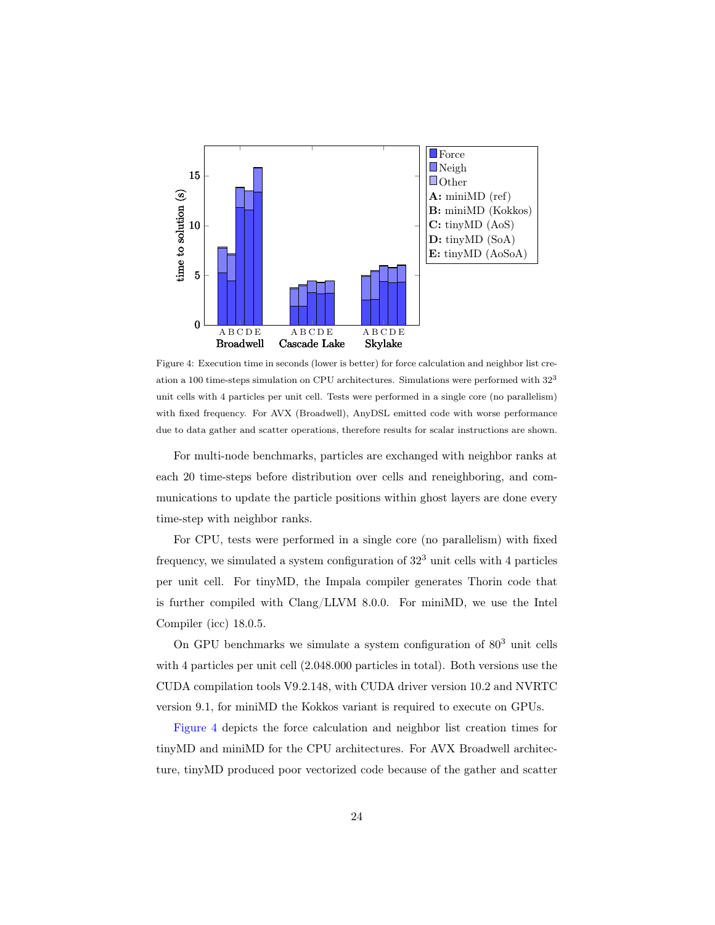

<span id="page-23-0"></span>Figure 4: Execution time in seconds (lower is better) for force calculation and neighbor list creation a 100 time-steps simulation on CPU architectures. Simulations were performed with  $32^3$ unit cells with 4 particles per unit cell. Tests were performed in a single core (no parallelism) with fixed frequency. For AVX (Broadwell), AnyDSL emitted code with worse performance due to data gather and scatter operations, therefore results for scalar instructions are shown.

For multi-node benchmarks, particles are exchanged with neighbor ranks at each 20 time-steps before distribution over cells and reneighboring, and communications to update the particle positions within ghost layers are done every time-step with neighbor ranks.

For CPU, tests were performed in a single core (no parallelism) with fixed frequency, we simulated a system configuration of  $32<sup>3</sup>$  unit cells with 4 particles per unit cell. For tinyMD, the Impala compiler generates Thorin code that is further compiled with Clang/LLVM 8.0.0. For miniMD, we use the Intel Compiler (icc) 18.0.5.

On GPU benchmarks we simulate a system configuration of  $80<sup>3</sup>$  unit cells with 4 particles per unit cell (2.048.000 particles in total). Both versions use the CUDA compilation tools V9.2.148, with CUDA driver version 10.2 and NVRTC version 9.1, for miniMD the Kokkos variant is required to execute on GPUs.

[Figure 4](#page-23-0) depicts the force calculation and neighbor list creation times for tinyMD and miniMD for the CPU architectures. For AVX Broadwell architecture, tinyMD produced poor vectorized code because of the gather and scatter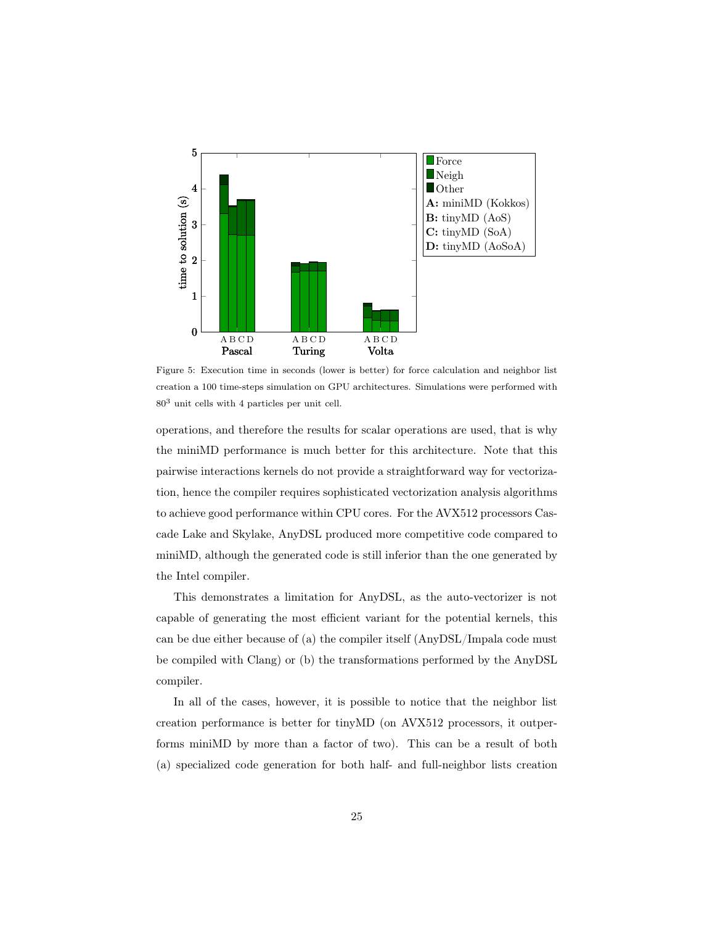

<span id="page-24-0"></span>Figure 5: Execution time in seconds (lower is better) for force calculation and neighbor list creation a 100 time-steps simulation on GPU architectures. Simulations were performed with 80<sup>3</sup> unit cells with 4 particles per unit cell.

operations, and therefore the results for scalar operations are used, that is why the miniMD performance is much better for this architecture. Note that this pairwise interactions kernels do not provide a straightforward way for vectorization, hence the compiler requires sophisticated vectorization analysis algorithms to achieve good performance within CPU cores. For the AVX512 processors Cascade Lake and Skylake, AnyDSL produced more competitive code compared to miniMD, although the generated code is still inferior than the one generated by the Intel compiler.

This demonstrates a limitation for AnyDSL, as the auto-vectorizer is not capable of generating the most efficient variant for the potential kernels, this can be due either because of (a) the compiler itself (AnyDSL/Impala code must be compiled with Clang) or (b) the transformations performed by the AnyDSL compiler.

In all of the cases, however, it is possible to notice that the neighbor list creation performance is better for tinyMD (on AVX512 processors, it outperforms miniMD by more than a factor of two). This can be a result of both (a) specialized code generation for both half- and full-neighbor lists creation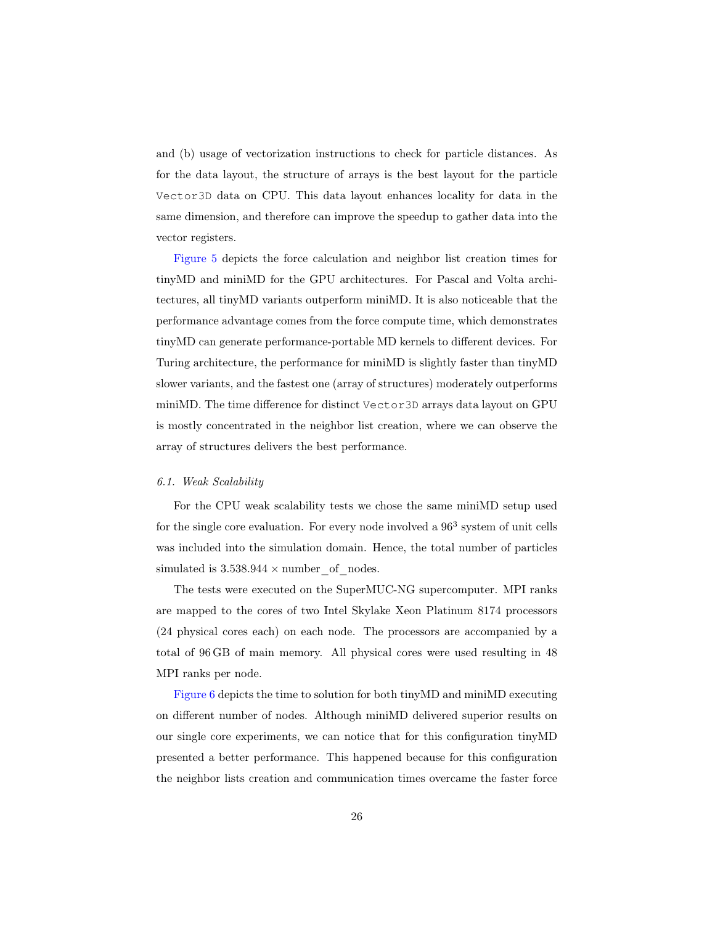and (b) usage of vectorization instructions to check for particle distances. As for the data layout, the structure of arrays is the best layout for the particle Vector3D data on CPU. This data layout enhances locality for data in the same dimension, and therefore can improve the speedup to gather data into the vector registers.

[Figure 5](#page-24-0) depicts the force calculation and neighbor list creation times for tinyMD and miniMD for the GPU architectures. For Pascal and Volta architectures, all tinyMD variants outperform miniMD. It is also noticeable that the performance advantage comes from the force compute time, which demonstrates tinyMD can generate performance-portable MD kernels to different devices. For Turing architecture, the performance for miniMD is slightly faster than tinyMD slower variants, and the fastest one (array of structures) moderately outperforms miniMD. The time difference for distinct Vector3D arrays data layout on GPU is mostly concentrated in the neighbor list creation, where we can observe the array of structures delivers the best performance.

#### 6.1. Weak Scalability

For the CPU weak scalability tests we chose the same miniMD setup used for the single core evaluation. For every node involved a  $96<sup>3</sup>$  system of unit cells was included into the simulation domain. Hence, the total number of particles simulated is  $3.538.944 \times \text{number of nodes.}$ 

The tests were executed on the SuperMUC-NG supercomputer. MPI ranks are mapped to the cores of two Intel Skylake Xeon Platinum 8174 processors (24 physical cores each) on each node. The processors are accompanied by a total of 96 GB of main memory. All physical cores were used resulting in 48 MPI ranks per node.

[Figure 6](#page-26-0) depicts the time to solution for both tinyMD and miniMD executing on different number of nodes. Although miniMD delivered superior results on our single core experiments, we can notice that for this configuration tinyMD presented a better performance. This happened because for this configuration the neighbor lists creation and communication times overcame the faster force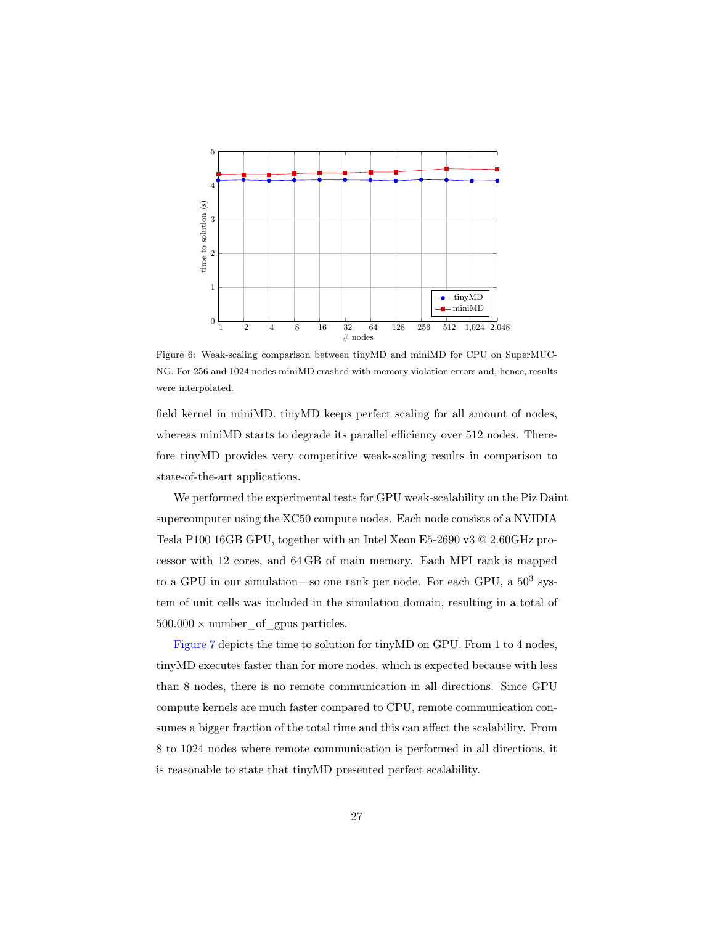

<span id="page-26-0"></span>Figure 6: Weak-scaling comparison between tinyMD and miniMD for CPU on SuperMUC-NG. For 256 and 1024 nodes miniMD crashed with memory violation errors and, hence, results were interpolated.

field kernel in miniMD. tinyMD keeps perfect scaling for all amount of nodes, whereas miniMD starts to degrade its parallel efficiency over 512 nodes. Therefore tinyMD provides very competitive weak-scaling results in comparison to state-of-the-art applications.

We performed the experimental tests for GPU weak-scalability on the Piz Daint supercomputer using the XC50 compute nodes. Each node consists of a NVIDIA Tesla P100 16GB GPU, together with an Intel Xeon E5-2690 v3 @ 2.60GHz processor with 12 cores, and 64 GB of main memory. Each MPI rank is mapped to a GPU in our simulation—so one rank per node. For each GPU, a  $50<sup>3</sup>$  system of unit cells was included in the simulation domain, resulting in a total of  $500.000 \times$  number of gpus particles.

[Figure 7](#page-27-0) depicts the time to solution for tinyMD on GPU. From 1 to 4 nodes, tinyMD executes faster than for more nodes, which is expected because with less than 8 nodes, there is no remote communication in all directions. Since GPU compute kernels are much faster compared to CPU, remote communication consumes a bigger fraction of the total time and this can affect the scalability. From 8 to 1024 nodes where remote communication is performed in all directions, it is reasonable to state that tinyMD presented perfect scalability.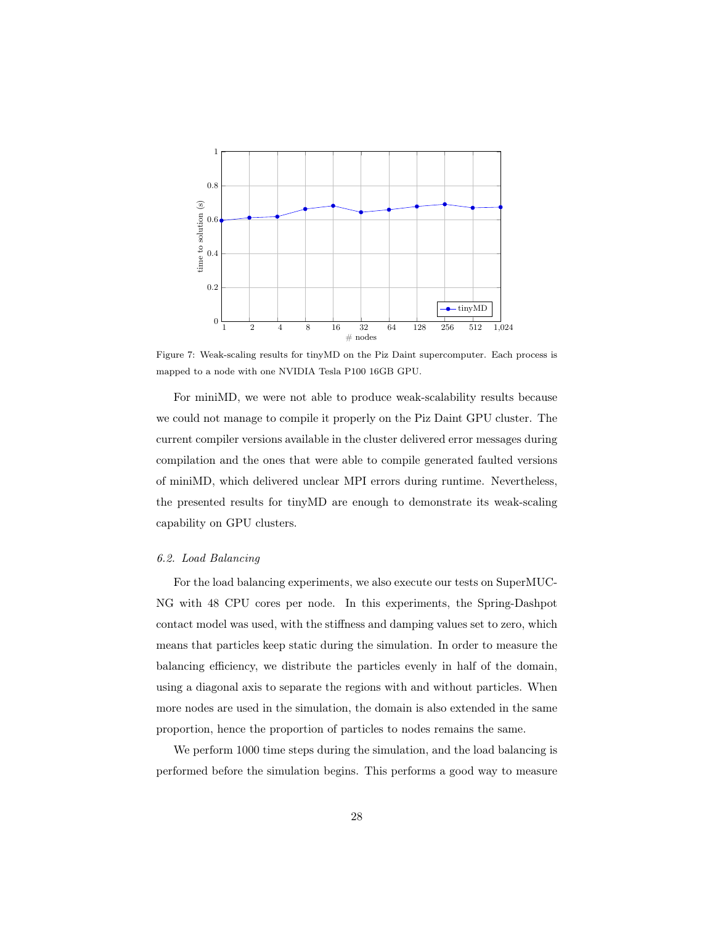

<span id="page-27-0"></span>Figure 7: Weak-scaling results for tinyMD on the Piz Daint supercomputer. Each process is mapped to a node with one NVIDIA Tesla P100 16GB GPU.

For miniMD, we were not able to produce weak-scalability results because we could not manage to compile it properly on the Piz Daint GPU cluster. The current compiler versions available in the cluster delivered error messages during compilation and the ones that were able to compile generated faulted versions of miniMD, which delivered unclear MPI errors during runtime. Nevertheless, the presented results for tinyMD are enough to demonstrate its weak-scaling capability on GPU clusters.

#### 6.2. Load Balancing

For the load balancing experiments, we also execute our tests on SuperMUC-NG with 48 CPU cores per node. In this experiments, the Spring-Dashpot contact model was used, with the stiffness and damping values set to zero, which means that particles keep static during the simulation. In order to measure the balancing efficiency, we distribute the particles evenly in half of the domain, using a diagonal axis to separate the regions with and without particles. When more nodes are used in the simulation, the domain is also extended in the same proportion, hence the proportion of particles to nodes remains the same.

We perform 1000 time steps during the simulation, and the load balancing is performed before the simulation begins. This performs a good way to measure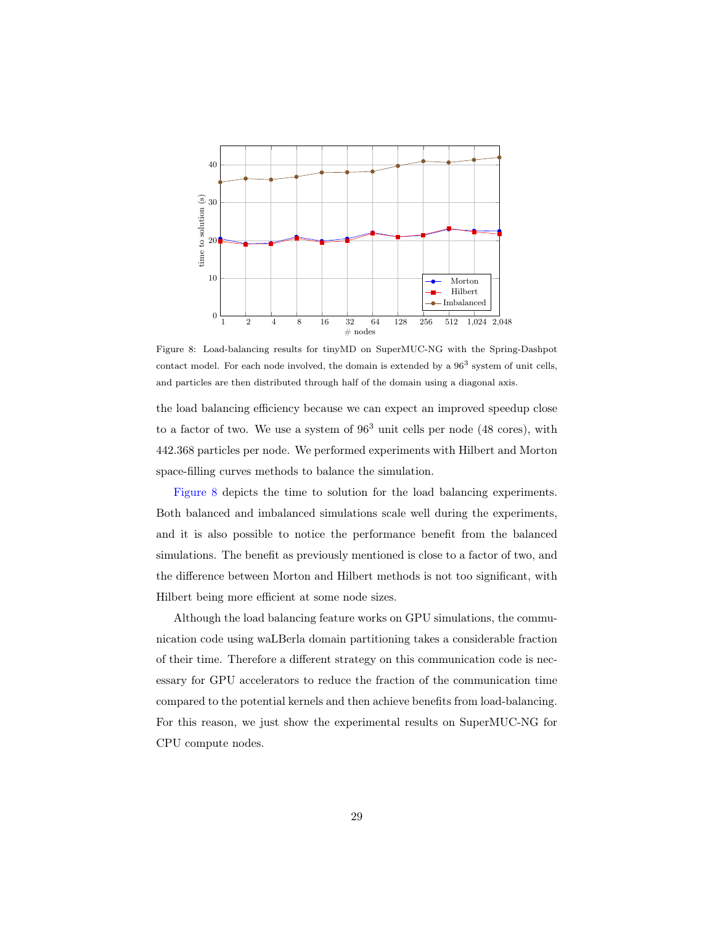

<span id="page-28-0"></span>Figure 8: Load-balancing results for tinyMD on SuperMUC-NG with the Spring-Dashpot contact model. For each node involved, the domain is extended by a  $96<sup>3</sup>$  system of unit cells, and particles are then distributed through half of the domain using a diagonal axis.

the load balancing efficiency because we can expect an improved speedup close to a factor of two. We use a system of  $96<sup>3</sup>$  unit cells per node (48 cores), with 442.368 particles per node. We performed experiments with Hilbert and Morton space-filling curves methods to balance the simulation.

[Figure 8](#page-28-0) depicts the time to solution for the load balancing experiments. Both balanced and imbalanced simulations scale well during the experiments, and it is also possible to notice the performance benefit from the balanced simulations. The benefit as previously mentioned is close to a factor of two, and the difference between Morton and Hilbert methods is not too significant, with Hilbert being more efficient at some node sizes.

Although the load balancing feature works on GPU simulations, the communication code using waLBerla domain partitioning takes a considerable fraction of their time. Therefore a different strategy on this communication code is necessary for GPU accelerators to reduce the fraction of the communication time compared to the potential kernels and then achieve benefits from load-balancing. For this reason, we just show the experimental results on SuperMUC-NG for CPU compute nodes.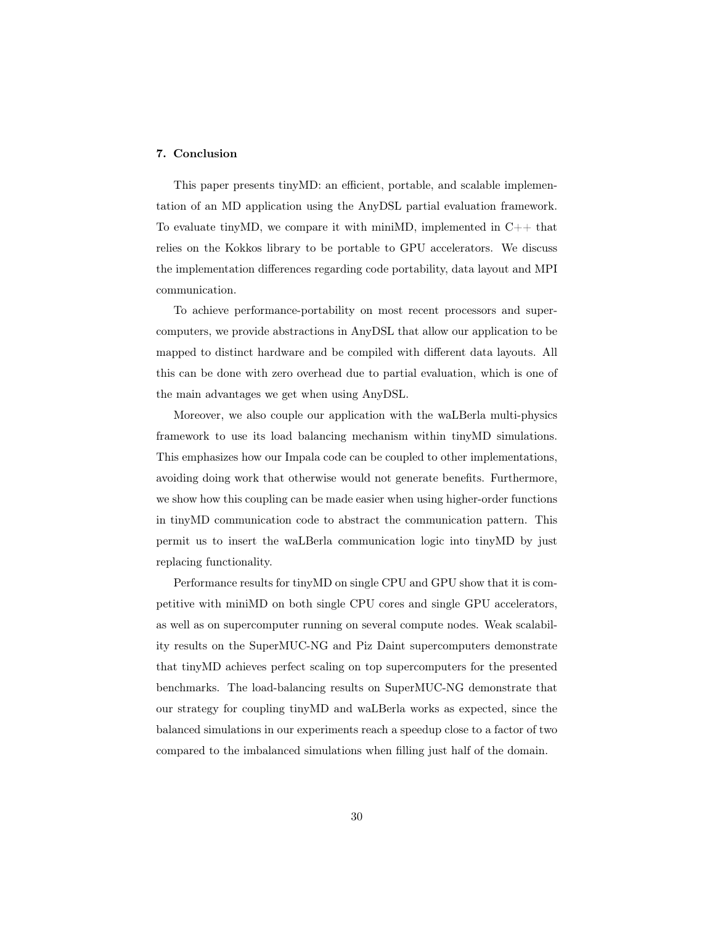## 7. Conclusion

This paper presents tinyMD: an efficient, portable, and scalable implementation of an MD application using the AnyDSL partial evaluation framework. To evaluate tinyMD, we compare it with miniMD, implemented in  $C++$  that relies on the Kokkos library to be portable to GPU accelerators. We discuss the implementation differences regarding code portability, data layout and MPI communication.

To achieve performance-portability on most recent processors and supercomputers, we provide abstractions in AnyDSL that allow our application to be mapped to distinct hardware and be compiled with different data layouts. All this can be done with zero overhead due to partial evaluation, which is one of the main advantages we get when using AnyDSL.

Moreover, we also couple our application with the waLBerla multi-physics framework to use its load balancing mechanism within tinyMD simulations. This emphasizes how our Impala code can be coupled to other implementations, avoiding doing work that otherwise would not generate benefits. Furthermore, we show how this coupling can be made easier when using higher-order functions in tinyMD communication code to abstract the communication pattern. This permit us to insert the waLBerla communication logic into tinyMD by just replacing functionality.

Performance results for tinyMD on single CPU and GPU show that it is competitive with miniMD on both single CPU cores and single GPU accelerators, as well as on supercomputer running on several compute nodes. Weak scalability results on the SuperMUC-NG and Piz Daint supercomputers demonstrate that tinyMD achieves perfect scaling on top supercomputers for the presented benchmarks. The load-balancing results on SuperMUC-NG demonstrate that our strategy for coupling tinyMD and waLBerla works as expected, since the balanced simulations in our experiments reach a speedup close to a factor of two compared to the imbalanced simulations when filling just half of the domain.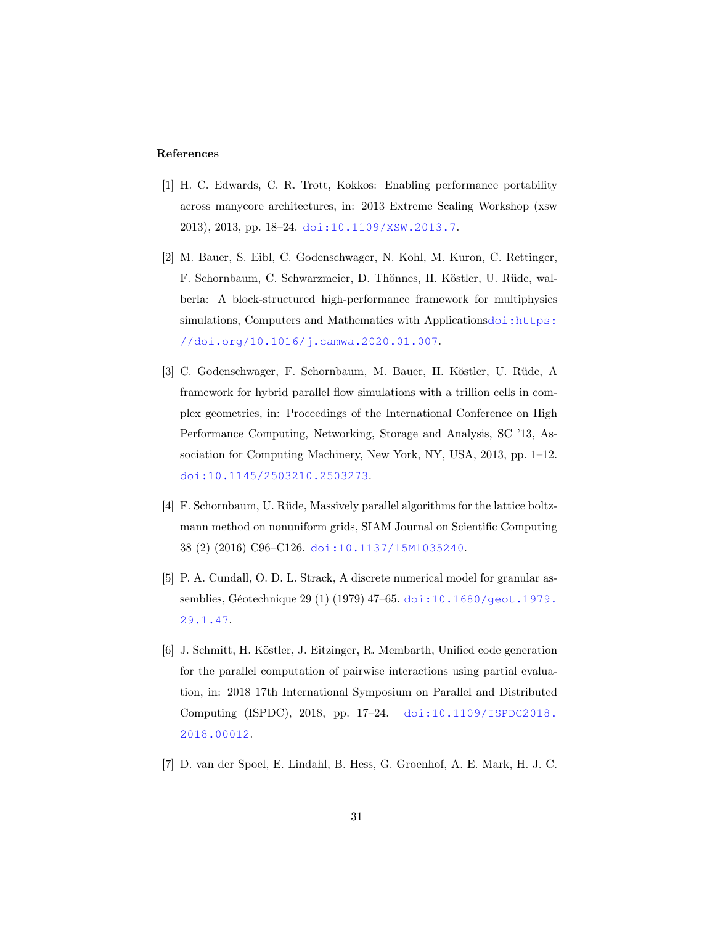#### References

- <span id="page-30-0"></span>[1] H. C. Edwards, C. R. Trott, Kokkos: Enabling performance portability across manycore architectures, in: 2013 Extreme Scaling Workshop (xsw 2013), 2013, pp. 18–24. [doi:10.1109/XSW.2013.7](http://dx.doi.org/10.1109/XSW.2013.7).
- <span id="page-30-1"></span>[2] M. Bauer, S. Eibl, C. Godenschwager, N. Kohl, M. Kuron, C. Rettinger, F. Schornbaum, C. Schwarzmeier, D. Thönnes, H. Köstler, U. Rüde, walberla: A block-structured high-performance framework for multiphysics simulations, Computers and Mathematics with Applications[doi:https:](http://dx.doi.org/https://doi.org/10.1016/j.camwa.2020.01.007) [//doi.org/10.1016/j.camwa.2020.01.007](http://dx.doi.org/https://doi.org/10.1016/j.camwa.2020.01.007).
- <span id="page-30-2"></span>[3] C. Godenschwager, F. Schornbaum, M. Bauer, H. Köstler, U. Rüde, A framework for hybrid parallel flow simulations with a trillion cells in complex geometries, in: Proceedings of the International Conference on High Performance Computing, Networking, Storage and Analysis, SC '13, Association for Computing Machinery, New York, NY, USA, 2013, pp. 1–12. [doi:10.1145/2503210.2503273](http://dx.doi.org/10.1145/2503210.2503273).
- <span id="page-30-3"></span>[4] F. Schornbaum, U. Rüde, Massively parallel algorithms for the lattice boltzmann method on nonuniform grids, SIAM Journal on Scientific Computing 38 (2) (2016) C96–C126. [doi:10.1137/15M1035240](http://dx.doi.org/10.1137/15M1035240).
- <span id="page-30-4"></span>[5] P. A. Cundall, O. D. L. Strack, A discrete numerical model for granular assemblies, Géotechnique 29 (1) (1979) 47–65. [doi:10.1680/geot.1979.](http://dx.doi.org/10.1680/geot.1979.29.1.47) [29.1.47](http://dx.doi.org/10.1680/geot.1979.29.1.47).
- <span id="page-30-5"></span>[6] J. Schmitt, H. Köstler, J. Eitzinger, R. Membarth, Unified code generation for the parallel computation of pairwise interactions using partial evaluation, in: 2018 17th International Symposium on Parallel and Distributed Computing (ISPDC), 2018, pp. 17–24. [doi:10.1109/ISPDC2018.](http://dx.doi.org/10.1109/ISPDC2018.2018.00012) [2018.00012](http://dx.doi.org/10.1109/ISPDC2018.2018.00012).
- <span id="page-30-6"></span>[7] D. van der Spoel, E. Lindahl, B. Hess, G. Groenhof, A. E. Mark, H. J. C.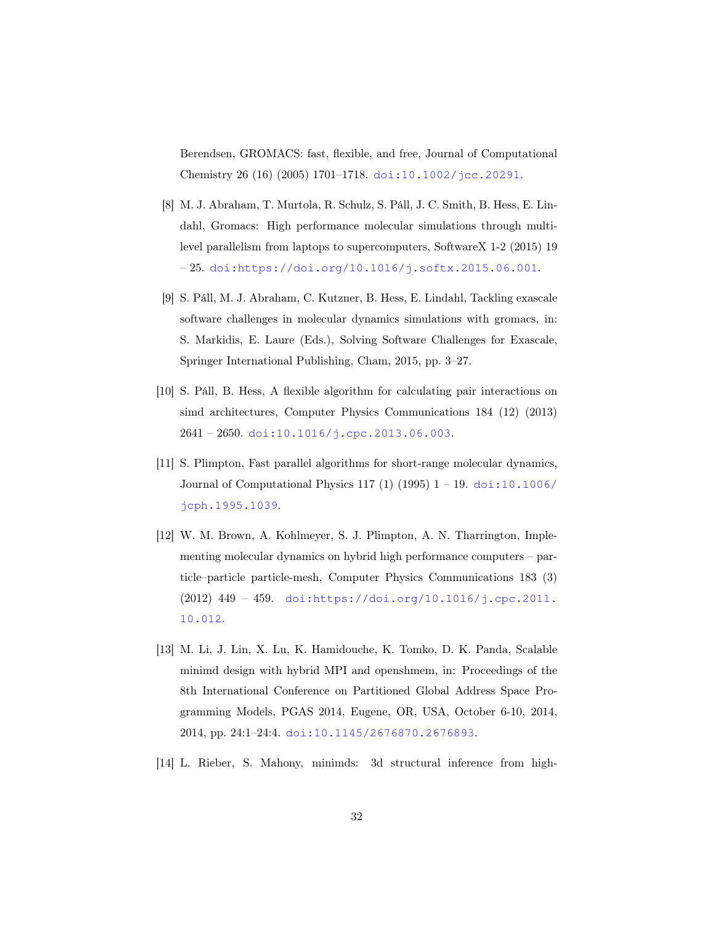Berendsen, GROMACS: fast, flexible, and free, Journal of Computational Chemistry 26 (16) (2005) 1701–1718. [doi:10.1002/jcc.20291](http://dx.doi.org/10.1002/jcc.20291).

- <span id="page-31-0"></span>[8] M. J. Abraham, T. Murtola, R. Schulz, S. Páll, J. C. Smith, B. Hess, E. Lindahl, Gromacs: High performance molecular simulations through multilevel parallelism from laptops to supercomputers, SoftwareX 1-2 (2015) 19 – 25. [doi:https://doi.org/10.1016/j.softx.2015.06.001](http://dx.doi.org/https://doi.org/10.1016/j.softx.2015.06.001).
- <span id="page-31-1"></span>[9] S. Páll, M. J. Abraham, C. Kutzner, B. Hess, E. Lindahl, Tackling exascale software challenges in molecular dynamics simulations with gromacs, in: S. Markidis, E. Laure (Eds.), Solving Software Challenges for Exascale, Springer International Publishing, Cham, 2015, pp. 3–27.
- <span id="page-31-2"></span>[10] S. Páll, B. Hess, A flexible algorithm for calculating pair interactions on simd architectures, Computer Physics Communications 184 (12) (2013)  $2641 - 2650$ . [doi:10.1016/j.cpc.2013.06.003](http://dx.doi.org/10.1016/j.cpc.2013.06.003).
- <span id="page-31-3"></span>[11] S. Plimpton, Fast parallel algorithms for short-range molecular dynamics, Journal of Computational Physics 117 (1) (1995)  $1 - 19$ . [doi:10.1006/](http://dx.doi.org/10.1006/jcph.1995.1039) [jcph.1995.1039](http://dx.doi.org/10.1006/jcph.1995.1039).
- <span id="page-31-4"></span>[12] W. M. Brown, A. Kohlmeyer, S. J. Plimpton, A. N. Tharrington, Implementing molecular dynamics on hybrid high performance computers – particle–particle particle-mesh, Computer Physics Communications 183 (3) (2012) 449 – 459. [doi:https://doi.org/10.1016/j.cpc.2011.](http://dx.doi.org/https://doi.org/10.1016/j.cpc.2011.10.012) [10.012](http://dx.doi.org/https://doi.org/10.1016/j.cpc.2011.10.012).
- <span id="page-31-5"></span>[13] M. Li, J. Lin, X. Lu, K. Hamidouche, K. Tomko, D. K. Panda, Scalable minimd design with hybrid MPI and openshmem, in: Proceedings of the 8th International Conference on Partitioned Global Address Space Programming Models, PGAS 2014, Eugene, OR, USA, October 6-10, 2014, 2014, pp. 24:1–24:4. [doi:10.1145/2676870.2676893](http://dx.doi.org/10.1145/2676870.2676893).
- <span id="page-31-6"></span>[14] L. Rieber, S. Mahony, minimds: 3d structural inference from high-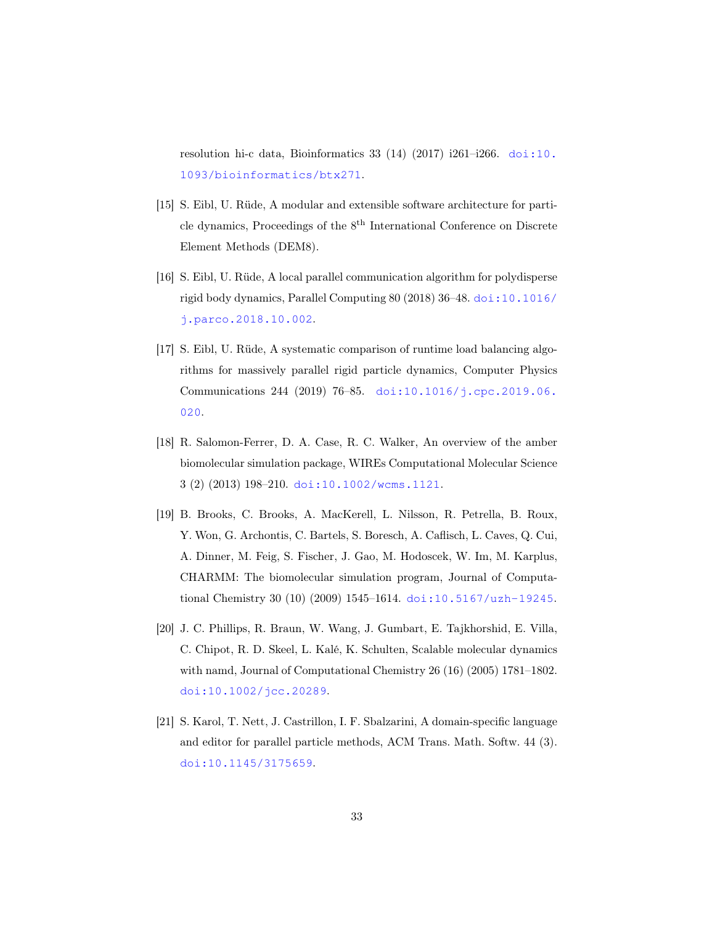resolution hi-c data, Bioinformatics 33 (14) (2017) i261–i266. [doi:10.](http://dx.doi.org/10.1093/bioinformatics/btx271) [1093/bioinformatics/btx271](http://dx.doi.org/10.1093/bioinformatics/btx271).

- <span id="page-32-0"></span>[15] S. Eibl, U. Rüde, A modular and extensible software architecture for particle dynamics, Proceedings of the 8<sup>th</sup> International Conference on Discrete Element Methods (DEM8).
- <span id="page-32-1"></span>[16] S. Eibl, U. Rüde, A local parallel communication algorithm for polydisperse rigid body dynamics, Parallel Computing 80 (2018) 36–48. [doi:10.1016/](http://dx.doi.org/10.1016/j.parco.2018.10.002) [j.parco.2018.10.002](http://dx.doi.org/10.1016/j.parco.2018.10.002).
- <span id="page-32-2"></span>[17] S. Eibl, U. Rüde, A systematic comparison of runtime load balancing algorithms for massively parallel rigid particle dynamics, Computer Physics Communications 244 (2019) 76–85. [doi:10.1016/j.cpc.2019.06.](http://dx.doi.org/10.1016/j.cpc.2019.06.020) [020](http://dx.doi.org/10.1016/j.cpc.2019.06.020).
- <span id="page-32-3"></span>[18] R. Salomon-Ferrer, D. A. Case, R. C. Walker, An overview of the amber biomolecular simulation package, WIREs Computational Molecular Science 3 (2) (2013) 198–210. [doi:10.1002/wcms.1121](http://dx.doi.org/10.1002/wcms.1121).
- <span id="page-32-4"></span>[19] B. Brooks, C. Brooks, A. MacKerell, L. Nilsson, R. Petrella, B. Roux, Y. Won, G. Archontis, C. Bartels, S. Boresch, A. Caflisch, L. Caves, Q. Cui, A. Dinner, M. Feig, S. Fischer, J. Gao, M. Hodoscek, W. Im, M. Karplus, CHARMM: The biomolecular simulation program, Journal of Computational Chemistry 30 (10) (2009) 1545–1614. [doi:10.5167/uzh-19245](http://dx.doi.org/10.5167/uzh-19245).
- <span id="page-32-5"></span>[20] J. C. Phillips, R. Braun, W. Wang, J. Gumbart, E. Tajkhorshid, E. Villa, C. Chipot, R. D. Skeel, L. Kalé, K. Schulten, Scalable molecular dynamics with namd, Journal of Computational Chemistry 26 (16) (2005) 1781–1802. [doi:10.1002/jcc.20289](http://dx.doi.org/10.1002/jcc.20289).
- <span id="page-32-6"></span>[21] S. Karol, T. Nett, J. Castrillon, I. F. Sbalzarini, A domain-specific language and editor for parallel particle methods, ACM Trans. Math. Softw. 44 (3). [doi:10.1145/3175659](http://dx.doi.org/10.1145/3175659).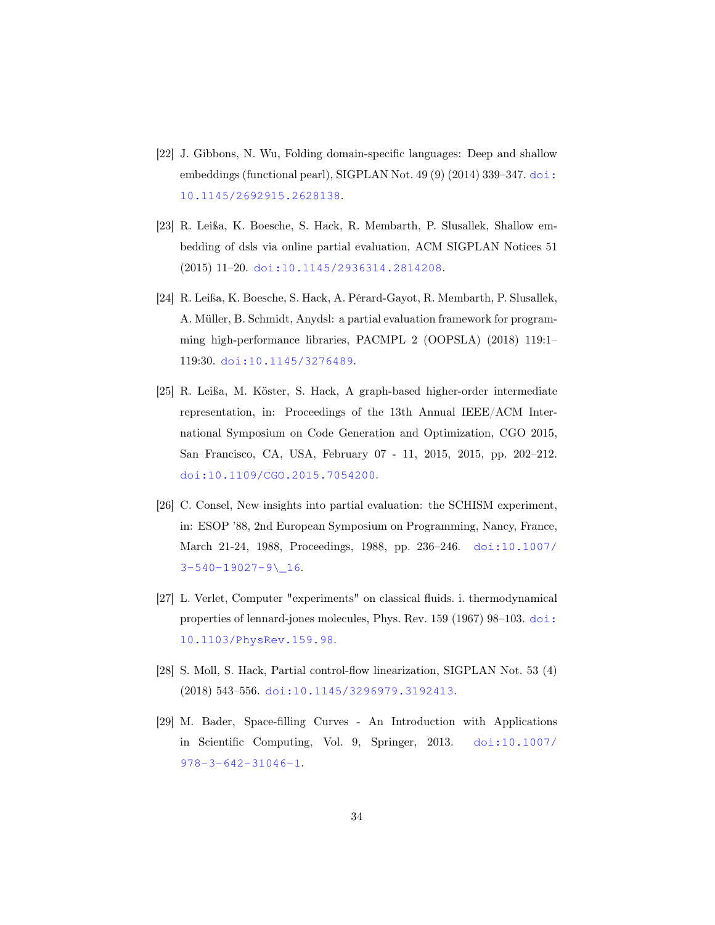- <span id="page-33-0"></span>[22] J. Gibbons, N. Wu, Folding domain-specific languages: Deep and shallow embeddings (functional pearl), SIGPLAN Not. 49 (9) (2014) 339–347. [doi:](http://dx.doi.org/10.1145/2692915.2628138) [10.1145/2692915.2628138](http://dx.doi.org/10.1145/2692915.2628138).
- <span id="page-33-1"></span>[23] R. Leißa, K. Boesche, S. Hack, R. Membarth, P. Slusallek, Shallow embedding of dsls via online partial evaluation, ACM SIGPLAN Notices 51 (2015) 11–20. [doi:10.1145/2936314.2814208](http://dx.doi.org/10.1145/2936314.2814208).
- <span id="page-33-2"></span>[24] R. Leißa, K. Boesche, S. Hack, A. Pérard-Gayot, R. Membarth, P. Slusallek, A. Müller, B. Schmidt, Anydsl: a partial evaluation framework for programming high-performance libraries, PACMPL 2 (OOPSLA) (2018) 119:1– 119:30. [doi:10.1145/3276489](http://dx.doi.org/10.1145/3276489).
- <span id="page-33-3"></span>[25] R. Leißa, M. Köster, S. Hack, A graph-based higher-order intermediate representation, in: Proceedings of the 13th Annual IEEE/ACM International Symposium on Code Generation and Optimization, CGO 2015, San Francisco, CA, USA, February 07 - 11, 2015, 2015, pp. 202–212. [doi:10.1109/CGO.2015.7054200](http://dx.doi.org/10.1109/CGO.2015.7054200).
- <span id="page-33-4"></span>[26] C. Consel, New insights into partial evaluation: the SCHISM experiment, in: ESOP '88, 2nd European Symposium on Programming, Nancy, France, March 21-24, 1988, Proceedings, 1988, pp. 236–246. [doi:10.1007/](http://dx.doi.org/10.1007/3-540-19027-9_16) [3-540-19027-9\\\_16](http://dx.doi.org/10.1007/3-540-19027-9_16).
- <span id="page-33-5"></span>[27] L. Verlet, Computer "experiments" on classical fluids. i. thermodynamical properties of lennard-jones molecules, Phys. Rev. 159 (1967) 98–103. [doi:](http://dx.doi.org/10.1103/PhysRev.159.98) [10.1103/PhysRev.159.98](http://dx.doi.org/10.1103/PhysRev.159.98).
- <span id="page-33-6"></span>[28] S. Moll, S. Hack, Partial control-flow linearization, SIGPLAN Not. 53 (4) (2018) 543–556. [doi:10.1145/3296979.3192413](http://dx.doi.org/10.1145/3296979.3192413).
- <span id="page-33-7"></span>[29] M. Bader, Space-filling Curves - An Introduction with Applications in Scientific Computing, Vol. 9, Springer, 2013. [doi:10.1007/](http://dx.doi.org/10.1007/978-3-642-31046-1) [978-3-642-31046-1](http://dx.doi.org/10.1007/978-3-642-31046-1).